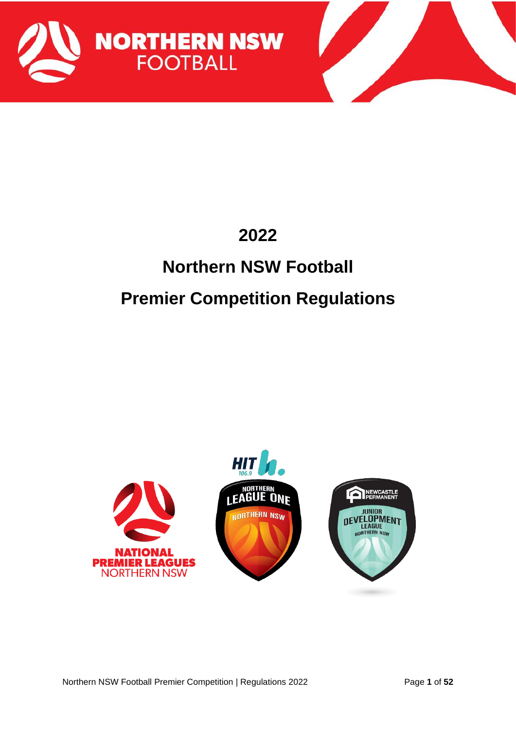

# **Northern NSW Football Premier Competition Regulations**

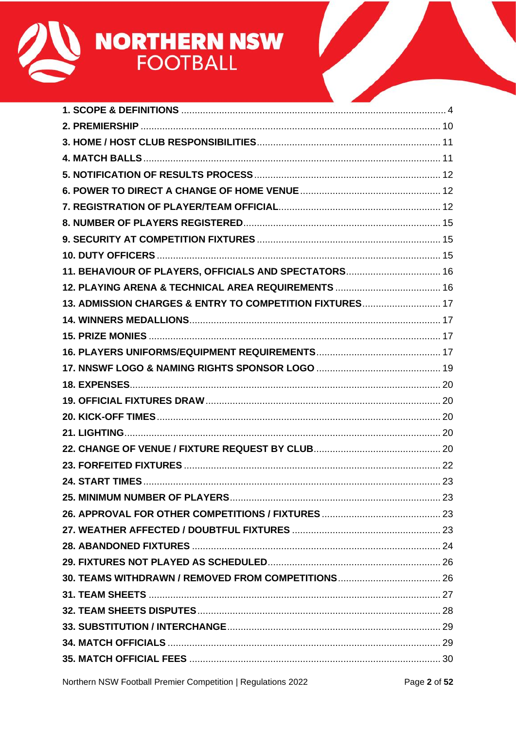

| 11. BEHAVIOUR OF PLAYERS, OFFICIALS AND SPECTATORS 16    |  |
|----------------------------------------------------------|--|
|                                                          |  |
| 13. ADMISSION CHARGES & ENTRY TO COMPETITION FIXTURES 17 |  |
|                                                          |  |
|                                                          |  |
|                                                          |  |
|                                                          |  |
|                                                          |  |
|                                                          |  |
|                                                          |  |
|                                                          |  |
|                                                          |  |
|                                                          |  |
|                                                          |  |
|                                                          |  |
|                                                          |  |
|                                                          |  |
|                                                          |  |
|                                                          |  |
|                                                          |  |
|                                                          |  |
|                                                          |  |
|                                                          |  |
|                                                          |  |
|                                                          |  |
|                                                          |  |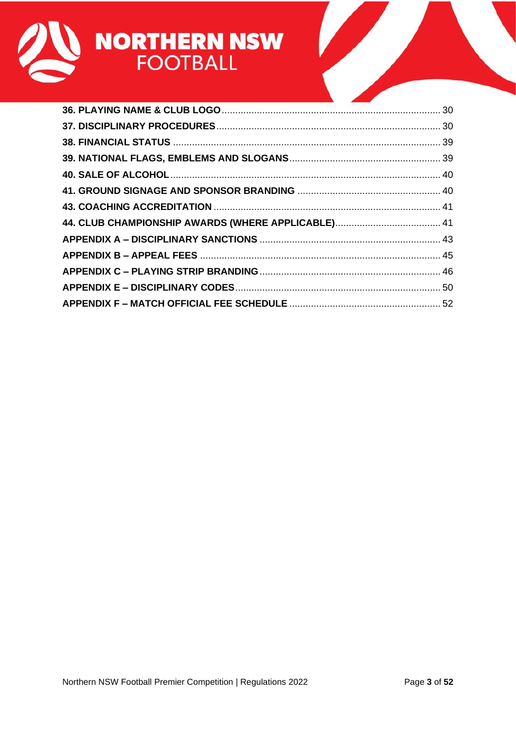

| the control of the control of the control of the control of the control of |  |
|----------------------------------------------------------------------------|--|
|                                                                            |  |
|                                                                            |  |
|                                                                            |  |
|                                                                            |  |
|                                                                            |  |
|                                                                            |  |
|                                                                            |  |
|                                                                            |  |
|                                                                            |  |
|                                                                            |  |
|                                                                            |  |
|                                                                            |  |
|                                                                            |  |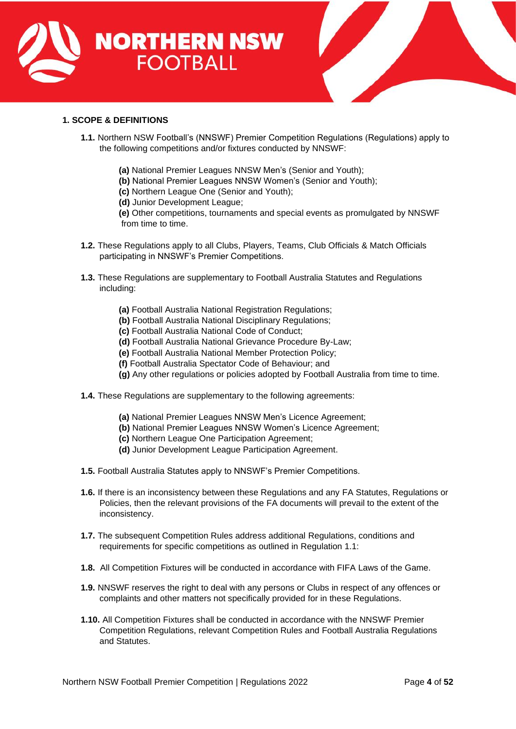



# <span id="page-3-0"></span>**1. SCOPE & DEFINITIONS**

- **1.1.** Northern NSW Football's (NNSWF) Premier Competition Regulations (Regulations) apply to the following competitions and/or fixtures conducted by NNSWF:
	- **(a)** National Premier Leagues NNSW Men's (Senior and Youth);
	- **(b)** National Premier Leagues NNSW Women's (Senior and Youth);
	- **(c)** Northern League One (Senior and Youth);
	- **(d)** Junior Development League;

**(e)** Other competitions, tournaments and special events as promulgated by NNSWF from time to time.

- **1.2.** These Regulations apply to all Clubs, Players, Teams, Club Officials & Match Officials participating in NNSWF's Premier Competitions.
- **1.3.** These Regulations are supplementary to Football Australia Statutes and Regulations including:
	- **(a)** Football Australia National Registration Regulations;
	- **(b)** Football Australia National Disciplinary Regulations;
	- **(c)** Football Australia National Code of Conduct;
	- **(d)** Football Australia National Grievance Procedure By-Law;
	- **(e)** Football Australia National Member Protection Policy;
	- **(f)** Football Australia Spectator Code of Behaviour; and
	- **(g)** Any other regulations or policies adopted by Football Australia from time to time.
- **1.4.** These Regulations are supplementary to the following agreements:
	- **(a)** National Premier Leagues NNSW Men's Licence Agreement;
	- **(b)** National Premier Leagues NNSW Women's Licence Agreement;
	- **(c)** Northern League One Participation Agreement;
	- **(d)** Junior Development League Participation Agreement.
- **1.5.** Football Australia Statutes apply to NNSWF's Premier Competitions.
- **1.6.** If there is an inconsistency between these Regulations and any FA Statutes, Regulations or Policies, then the relevant provisions of the FA documents will prevail to the extent of the inconsistency.
- **1.7.** The subsequent Competition Rules address additional Regulations, conditions and requirements for specific competitions as outlined in Regulation 1.1:
- **1.8.** All Competition Fixtures will be conducted in accordance with FIFA Laws of the Game.
- **1.9.** NNSWF reserves the right to deal with any persons or Clubs in respect of any offences or complaints and other matters not specifically provided for in these Regulations.
- **1.10.** All Competition Fixtures shall be conducted in accordance with the NNSWF Premier Competition Regulations, relevant Competition Rules and Football Australia Regulations and Statutes.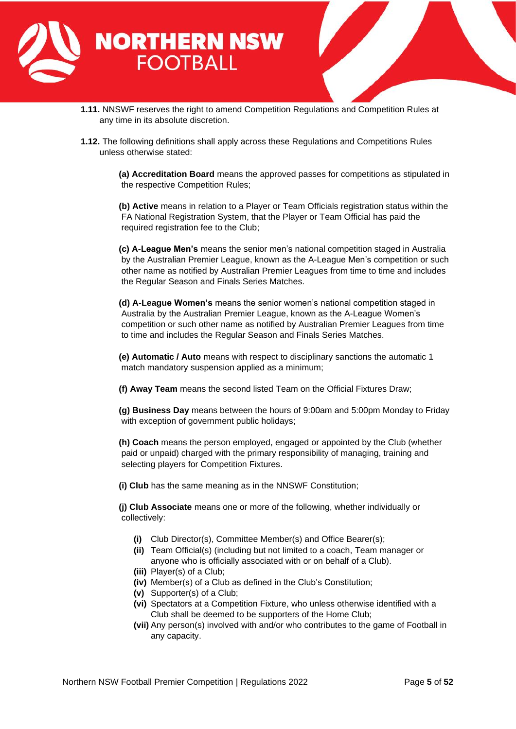

- **1.11.** NNSWF reserves the right to amend Competition Regulations and Competition Rules at any time in its absolute discretion.
- **1.12.** The following definitions shall apply across these Regulations and Competitions Rules unless otherwise stated:

**(a) Accreditation Board** means the approved passes for competitions as stipulated in the respective Competition Rules;

**(b) Active** means in relation to a Player or Team Officials registration status within the FA National Registration System, that the Player or Team Official has paid the required registration fee to the Club;

**(c) A-League Men's** means the senior men's national competition staged in Australia by the Australian Premier League, known as the A-League Men's competition or such other name as notified by Australian Premier Leagues from time to time and includes the Regular Season and Finals Series Matches.

**(d) A-League Women's** means the senior women's national competition staged in Australia by the Australian Premier League, known as the A-League Women's competition or such other name as notified by Australian Premier Leagues from time to time and includes the Regular Season and Finals Series Matches.

**(e) Automatic / Auto** means with respect to disciplinary sanctions the automatic 1 match mandatory suspension applied as a minimum;

**(f) Away Team** means the second listed Team on the Official Fixtures Draw;

**(g) Business Day** means between the hours of 9:00am and 5:00pm Monday to Friday with exception of government public holidays;

**(h) Coach** means the person employed, engaged or appointed by the Club (whether paid or unpaid) charged with the primary responsibility of managing, training and selecting players for Competition Fixtures.

**(i) Club** has the same meaning as in the NNSWF Constitution;

**(j) Club Associate** means one or more of the following, whether individually or collectively:

- **(i)** Club Director(s), Committee Member(s) and Office Bearer(s);
- **(ii)** Team Official(s) (including but not limited to a coach, Team manager or anyone who is officially associated with or on behalf of a Club).
- **(iii)** Player(s) of a Club;
- **(iv)** Member(s) of a Club as defined in the Club's Constitution;
- **(v)** Supporter(s) of a Club;
- **(vi)** Spectators at a Competition Fixture, who unless otherwise identified with a Club shall be deemed to be supporters of the Home Club;
- **(vii)** Any person(s) involved with and/or who contributes to the game of Football in any capacity.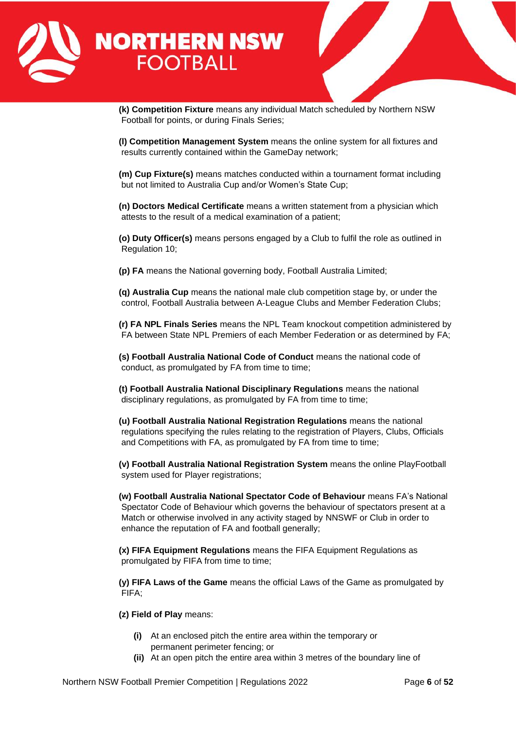

**(k) Competition Fixture** means any individual Match scheduled by Northern NSW Football for points, or during Finals Series;

**(l) Competition Management System** means the online system for all fixtures and results currently contained within the GameDay network;

**(m) Cup Fixture(s)** means matches conducted within a tournament format including but not limited to Australia Cup and/or Women's State Cup;

**(n) Doctors Medical Certificate** means a written statement from a physician which attests to the result of a medical examination of a patient;

**(o) Duty Officer(s)** means persons engaged by a Club to fulfil the role as outlined in Regulation 10;

**(p) FA** means the National governing body, Football Australia Limited;

**(q) Australia Cup** means the national male club competition stage by, or under the control, Football Australia between A-League Clubs and Member Federation Clubs;

**(r) FA NPL Finals Series** means the NPL Team knockout competition administered by FA between State NPL Premiers of each Member Federation or as determined by FA;

**(s) Football Australia National Code of Conduct** means the national code of conduct, as promulgated by FA from time to time;

**(t) Football Australia National Disciplinary Regulations** means the national disciplinary regulations, as promulgated by FA from time to time;

**(u) Football Australia National Registration Regulations** means the national regulations specifying the rules relating to the registration of Players, Clubs, Officials and Competitions with FA, as promulgated by FA from time to time;

**(v) Football Australia National Registration System** means the online PlayFootball system used for Player registrations;

**(w) Football Australia National Spectator Code of Behaviour** means FA's National Spectator Code of Behaviour which governs the behaviour of spectators present at a Match or otherwise involved in any activity staged by NNSWF or Club in order to enhance the reputation of FA and football generally;

**(x) FIFA Equipment Regulations** means the FIFA Equipment Regulations as promulgated by FIFA from time to time;

**(y) FIFA Laws of the Game** means the official Laws of the Game as promulgated by FIFA;

**(z) Field of Play** means:

- **(i)** At an enclosed pitch the entire area within the temporary or permanent perimeter fencing; or
- **(ii)** At an open pitch the entire area within 3 metres of the boundary line of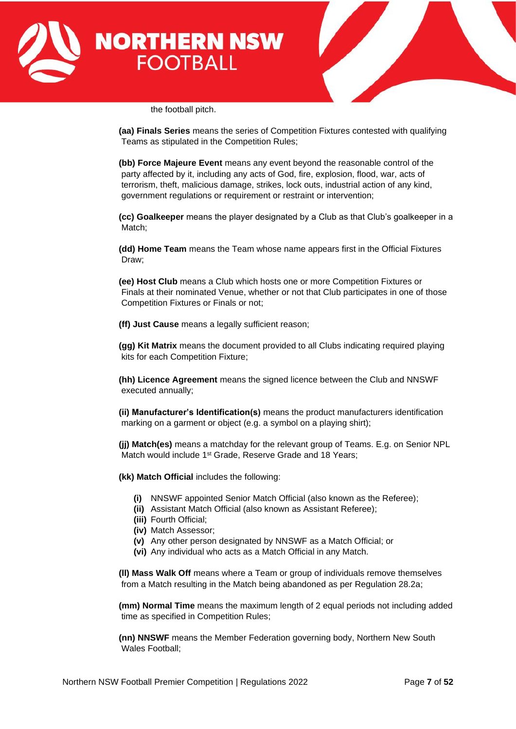



the football pitch.

**(aa) Finals Series** means the series of Competition Fixtures contested with qualifying Teams as stipulated in the Competition Rules;

**(bb) Force Majeure Event** means any event beyond the reasonable control of the party affected by it, including any acts of God, fire, explosion, flood, war, acts of terrorism, theft, malicious damage, strikes, lock outs, industrial action of any kind, government regulations or requirement or restraint or intervention;

**(cc) Goalkeeper** means the player designated by a Club as that Club's goalkeeper in a Match;

**(dd) Home Team** means the Team whose name appears first in the Official Fixtures Draw;

**(ee) Host Club** means a Club which hosts one or more Competition Fixtures or Finals at their nominated Venue, whether or not that Club participates in one of those Competition Fixtures or Finals or not;

**(ff) Just Cause** means a legally sufficient reason;

**(gg) Kit Matrix** means the document provided to all Clubs indicating required playing kits for each Competition Fixture;

**(hh) Licence Agreement** means the signed licence between the Club and NNSWF executed annually;

**(ii) Manufacturer's Identification(s)** means the product manufacturers identification marking on a garment or object (e.g. a symbol on a playing shirt);

**(jj) Match(es)** means a matchday for the relevant group of Teams. E.g. on Senior NPL Match would include 1<sup>st</sup> Grade, Reserve Grade and 18 Years;

**(kk) Match Official** includes the following:

- **(i)** NNSWF appointed Senior Match Official (also known as the Referee);
- **(ii)** Assistant Match Official (also known as Assistant Referee);
- **(iii)** Fourth Official;
- **(iv)** Match Assessor;
- **(v)** Any other person designated by NNSWF as a Match Official; or
- **(vi)** Any individual who acts as a Match Official in any Match.

**(ll) Mass Walk Off** means where a Team or group of individuals remove themselves from a Match resulting in the Match being abandoned as per Regulation 28.2a;

**(mm) Normal Time** means the maximum length of 2 equal periods not including added time as specified in Competition Rules;

**(nn) NNSWF** means the Member Federation governing body, Northern New South Wales Football;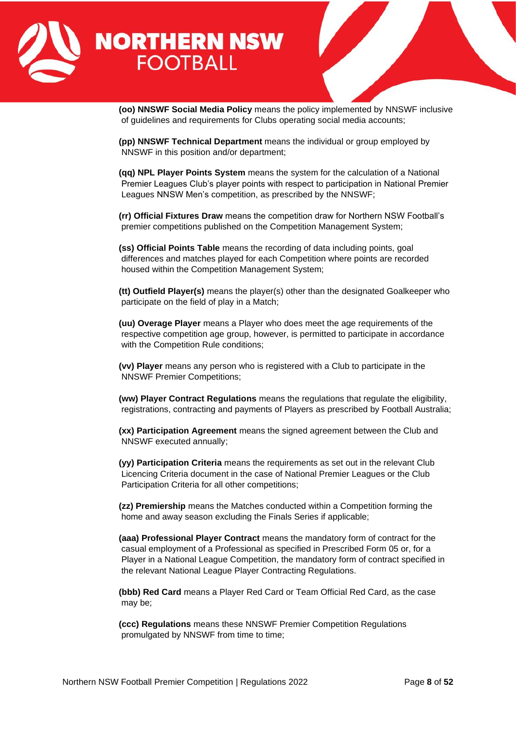

**(oo) NNSWF Social Media Policy** means the policy implemented by NNSWF inclusive of guidelines and requirements for Clubs operating social media accounts;

**(pp) NNSWF Technical Department** means the individual or group employed by NNSWF in this position and/or department;

**(qq) NPL Player Points System** means the system for the calculation of a National Premier Leagues Club's player points with respect to participation in National Premier Leagues NNSW Men's competition, as prescribed by the NNSWF;

**(rr) Official Fixtures Draw** means the competition draw for Northern NSW Football's premier competitions published on the Competition Management System;

**(ss) Official Points Table** means the recording of data including points, goal differences and matches played for each Competition where points are recorded housed within the Competition Management System;

**(tt) Outfield Player(s)** means the player(s) other than the designated Goalkeeper who participate on the field of play in a Match;

**(uu) Overage Player** means a Player who does meet the age requirements of the respective competition age group, however, is permitted to participate in accordance with the Competition Rule conditions;

**(vv) Player** means any person who is registered with a Club to participate in the NNSWF Premier Competitions;

**(ww) Player Contract Regulations** means the regulations that regulate the eligibility, registrations, contracting and payments of Players as prescribed by Football Australia;

**(xx) Participation Agreement** means the signed agreement between the Club and NNSWF executed annually;

**(yy) Participation Criteria** means the requirements as set out in the relevant Club Licencing Criteria document in the case of National Premier Leagues or the Club Participation Criteria for all other competitions;

**(zz) Premiership** means the Matches conducted within a Competition forming the home and away season excluding the Finals Series if applicable;

**(aaa) Professional Player Contract** means the mandatory form of contract for the casual employment of a Professional as specified in Prescribed Form 05 or, for a Player in a National League Competition, the mandatory form of contract specified in the relevant National League Player Contracting Regulations.

**(bbb) Red Card** means a Player Red Card or Team Official Red Card, as the case may be;

**(ccc) Regulations** means these NNSWF Premier Competition Regulations promulgated by NNSWF from time to time;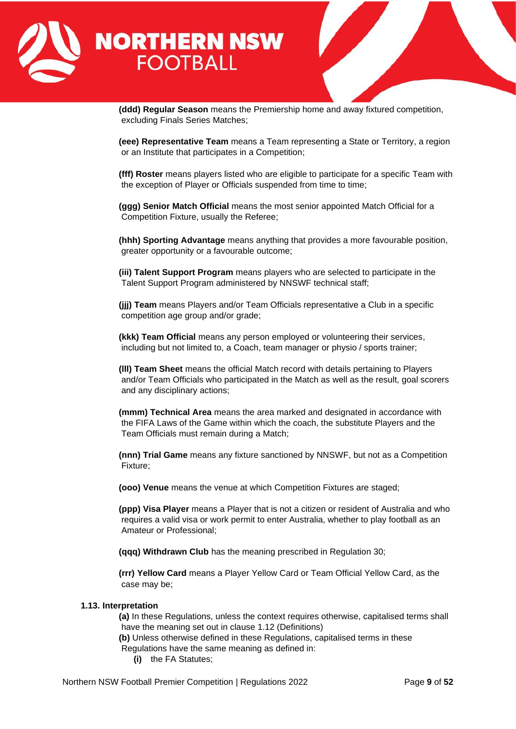

**(ddd) Regular Season** means the Premiership home and away fixtured competition, excluding Finals Series Matches;

**(eee) Representative Team** means a Team representing a State or Territory, a region or an Institute that participates in a Competition;

**(fff) Roster** means players listed who are eligible to participate for a specific Team with the exception of Player or Officials suspended from time to time;

**(ggg) Senior Match Official** means the most senior appointed Match Official for a Competition Fixture, usually the Referee;

**(hhh) Sporting Advantage** means anything that provides a more favourable position, greater opportunity or a favourable outcome;

**(iii) Talent Support Program** means players who are selected to participate in the Talent Support Program administered by NNSWF technical staff;

**(jjj) Team** means Players and/or Team Officials representative a Club in a specific competition age group and/or grade;

**(kkk) Team Official** means any person employed or volunteering their services, including but not limited to, a Coach, team manager or physio / sports trainer;

**(lll) Team Sheet** means the official Match record with details pertaining to Players and/or Team Officials who participated in the Match as well as the result, goal scorers and any disciplinary actions;

**(mmm) Technical Area** means the area marked and designated in accordance with the FIFA Laws of the Game within which the coach, the substitute Players and the Team Officials must remain during a Match;

**(nnn) Trial Game** means any fixture sanctioned by NNSWF, but not as a Competition Fixture;

**(ooo) Venue** means the venue at which Competition Fixtures are staged;

**(ppp) Visa Player** means a Player that is not a citizen or resident of Australia and who requires a valid visa or work permit to enter Australia, whether to play football as an Amateur or Professional;

**(qqq) Withdrawn Club** has the meaning prescribed in Regulation 30;

**(rrr) Yellow Card** means a Player Yellow Card or Team Official Yellow Card, as the case may be;

#### **1.13. Interpretation**

**(a)** In these Regulations, unless the context requires otherwise, capitalised terms shall have the meaning set out in clause 1.12 (Definitions)

**(b)** Unless otherwise defined in these Regulations, capitalised terms in these Regulations have the same meaning as defined in:

**(i)** the FA Statutes;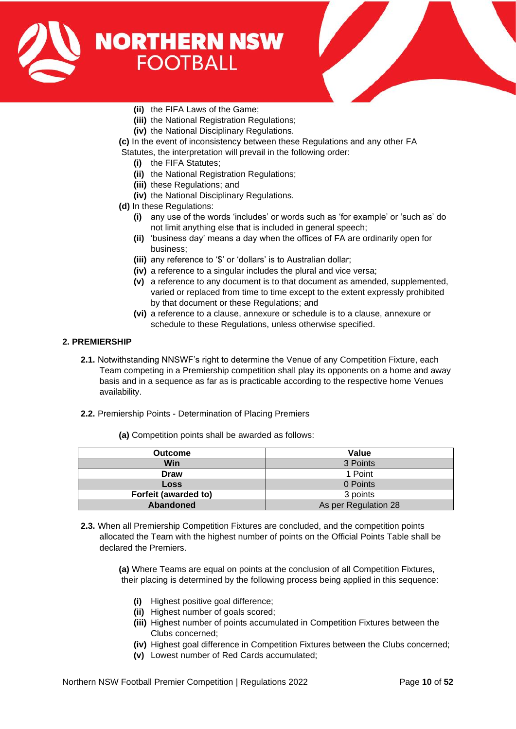



- **(ii)** the FIFA Laws of the Game;
- **(iii)** the National Registration Regulations;
- **(iv)** the National Disciplinary Regulations.
- **(c)** In the event of inconsistency between these Regulations and any other FA Statutes, the interpretation will prevail in the following order:
	- **(i)** the FIFA Statutes;
	- **(ii)** the National Registration Regulations;
	- **(iii)** these Regulations; and
	- **(iv)** the National Disciplinary Regulations.
- **(d)** In these Regulations:
	- **(i)** any use of the words 'includes' or words such as 'for example' or 'such as' do not limit anything else that is included in general speech;
	- **(ii)** 'business day' means a day when the offices of FA are ordinarily open for business;
	- **(iii)** any reference to '\$' or 'dollars' is to Australian dollar;
	- **(iv)** a reference to a singular includes the plural and vice versa;
	- **(v)** a reference to any document is to that document as amended, supplemented, varied or replaced from time to time except to the extent expressly prohibited by that document or these Regulations; and
	- **(vi)** a reference to a clause, annexure or schedule is to a clause, annexure or schedule to these Regulations, unless otherwise specified.

# <span id="page-9-0"></span>**2. PREMIERSHIP**

- **2.1.** Notwithstanding NNSWF's right to determine the Venue of any Competition Fixture, each Team competing in a Premiership competition shall play its opponents on a home and away basis and in a sequence as far as is practicable according to the respective home Venues availability.
- **2.2.** Premiership Points Determination of Placing Premiers

|  |  | (a) Competition points shall be awarded as follows: |
|--|--|-----------------------------------------------------|
|--|--|-----------------------------------------------------|

| <b>Outcome</b>       | Value                |  |
|----------------------|----------------------|--|
| Win                  | 3 Points             |  |
| <b>Draw</b>          | 1 Point              |  |
| <b>Loss</b>          | 0 Points             |  |
| Forfeit (awarded to) | 3 points             |  |
| Abandoned            | As per Regulation 28 |  |

**2.3.** When all Premiership Competition Fixtures are concluded, and the competition points allocated the Team with the highest number of points on the Official Points Table shall be declared the Premiers.

> **(a)** Where Teams are equal on points at the conclusion of all Competition Fixtures, their placing is determined by the following process being applied in this sequence:

- **(i)** Highest positive goal difference;
- **(ii)** Highest number of goals scored;
- **(iii)** Highest number of points accumulated in Competition Fixtures between the Clubs concerned;
- **(iv)** Highest goal difference in Competition Fixtures between the Clubs concerned;
- **(v)** Lowest number of Red Cards accumulated;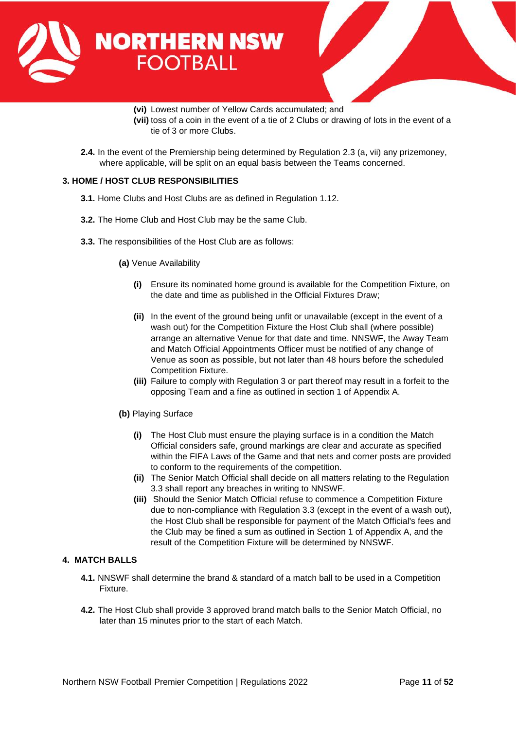



**(vi)** Lowest number of Yellow Cards accumulated; and **(vii)** toss of a coin in the event of a tie of 2 Clubs or drawing of lots in the event of a tie of 3 or more Clubs.

**2.4.** In the event of the Premiership being determined by Regulation 2.3 (a, vii) any prizemoney, where applicable, will be split on an equal basis between the Teams concerned.

# <span id="page-10-0"></span>**3. HOME / HOST CLUB RESPONSIBILITIES**

- **3.1.** Home Clubs and Host Clubs are as defined in Regulation 1.12.
- **3.2.** The Home Club and Host Club may be the same Club.
- **3.3.** The responsibilities of the Host Club are as follows:
	- **(a)** Venue Availability
		- **(i)** Ensure its nominated home ground is available for the Competition Fixture, on the date and time as published in the Official Fixtures Draw;
		- **(ii)** In the event of the ground being unfit or unavailable (except in the event of a wash out) for the Competition Fixture the Host Club shall (where possible) arrange an alternative Venue for that date and time. NNSWF, the Away Team and Match Official Appointments Officer must be notified of any change of Venue as soon as possible, but not later than 48 hours before the scheduled Competition Fixture.
		- **(iii)** Failure to comply with Regulation 3 or part thereof may result in a forfeit to the opposing Team and a fine as outlined in section 1 of Appendix A.
	- **(b)** Playing Surface
		- **(i)** The Host Club must ensure the playing surface is in a condition the Match Official considers safe, ground markings are clear and accurate as specified within the FIFA Laws of the Game and that nets and corner posts are provided to conform to the requirements of the competition.
		- **(ii)** The Senior Match Official shall decide on all matters relating to the Regulation 3.3 shall report any breaches in writing to NNSWF.
		- **(iii)** Should the Senior Match Official refuse to commence a Competition Fixture due to non-compliance with Regulation 3.3 (except in the event of a wash out), the Host Club shall be responsible for payment of the Match Official's fees and the Club may be fined a sum as outlined in Section 1 of Appendix A, and the result of the Competition Fixture will be determined by NNSWF.

#### <span id="page-10-1"></span>**4. MATCH BALLS**

- **4.1.** NNSWF shall determine the brand & standard of a match ball to be used in a Competition Fixture.
- **4.2.** The Host Club shall provide 3 approved brand match balls to the Senior Match Official, no later than 15 minutes prior to the start of each Match.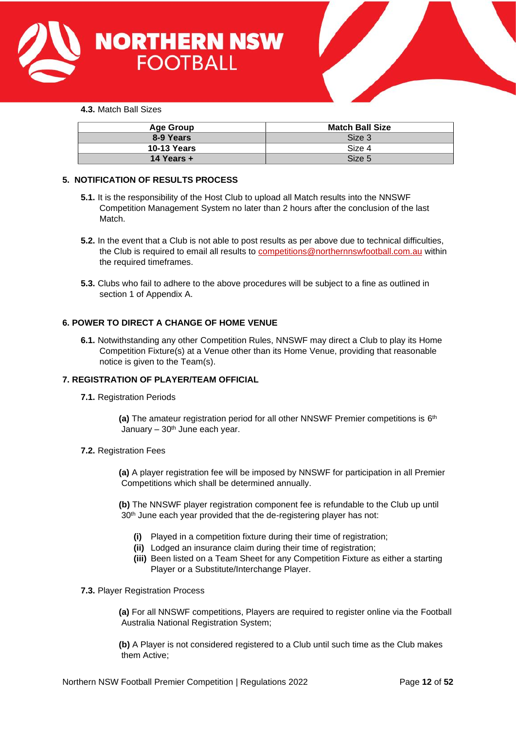



|  | <b>4.3.</b> Match Ball Sizes |  |  |
|--|------------------------------|--|--|
|--|------------------------------|--|--|

| Age Group          | <b>Match Ball Size</b> |
|--------------------|------------------------|
| 8-9 Years          | Size 3                 |
| <b>10-13 Years</b> | Size 4                 |
| 14 Years $+$       | Size 5                 |

# <span id="page-11-0"></span>**5. NOTIFICATION OF RESULTS PROCESS**

- **5.1.** It is the responsibility of the Host Club to upload all Match results into the NNSWF Competition Management System no later than 2 hours after the conclusion of the last Match.
- **5.2.** In the event that a Club is not able to post results as per above due to technical difficulties, the Club is required to email all results to [competitions@northernnswfootball.com.au](mailto:competitions@northernnswfootball.com.au) within the required timeframes.
- **5.3.** Clubs who fail to adhere to the above procedures will be subject to a fine as outlined in section 1 of Appendix A.

# <span id="page-11-1"></span>**6. POWER TO DIRECT A CHANGE OF HOME VENUE**

**6.1.** Notwithstanding any other Competition Rules, NNSWF may direct a Club to play its Home Competition Fixture(s) at a Venue other than its Home Venue, providing that reasonable notice is given to the Team(s).

# <span id="page-11-2"></span>**7. REGISTRATION OF PLAYER/TEAM OFFICIAL**

**7.1.** Registration Periods

**(a)** The amateur registration period for all other NNSWF Premier competitions is 6<sup>th</sup> January  $-30<sup>th</sup>$  June each year.

#### **7.2.** Registration Fees

**(a)** A player registration fee will be imposed by NNSWF for participation in all Premier Competitions which shall be determined annually.

**(b)** The NNSWF player registration component fee is refundable to the Club up until 30<sup>th</sup> June each year provided that the de-registering player has not:

- **(i)** Played in a competition fixture during their time of registration;
- **(ii)** Lodged an insurance claim during their time of registration;
- **(iii)** Been listed on a Team Sheet for any Competition Fixture as either a starting Player or a Substitute/Interchange Player.

#### **7.3.** Player Registration Process

**(a)** For all NNSWF competitions, Players are required to register online via the Football Australia National Registration System;

**(b)** A Player is not considered registered to a Club until such time as the Club makes them Active;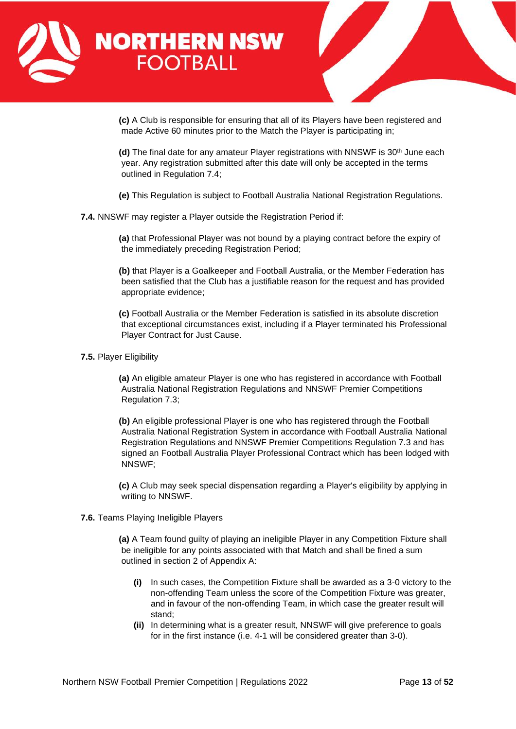



**(c)** A Club is responsible for ensuring that all of its Players have been registered and made Active 60 minutes prior to the Match the Player is participating in;

**(d)** The final date for any amateur Player registrations with NNSWF is 30<sup>th</sup> June each year. Any registration submitted after this date will only be accepted in the terms outlined in Regulation 7.4;

**(e)** This Regulation is subject to Football Australia National Registration Regulations.

**7.4.** NNSWF may register a Player outside the Registration Period if:

**(a)** that Professional Player was not bound by a playing contract before the expiry of the immediately preceding Registration Period;

**(b)** that Player is a Goalkeeper and Football Australia, or the Member Federation has been satisfied that the Club has a justifiable reason for the request and has provided appropriate evidence;

**(c)** Football Australia or the Member Federation is satisfied in its absolute discretion that exceptional circumstances exist, including if a Player terminated his Professional Player Contract for Just Cause.

**7.5.** Player Eligibility

**(a)** An eligible amateur Player is one who has registered in accordance with Football Australia National Registration Regulations and NNSWF Premier Competitions Regulation 7.3;

**(b)** An eligible professional Player is one who has registered through the Football Australia National Registration System in accordance with Football Australia National Registration Regulations and NNSWF Premier Competitions Regulation 7.3 and has signed an Football Australia Player Professional Contract which has been lodged with NNSWF;

**(c)** A Club may seek special dispensation regarding a Player's eligibility by applying in writing to NNSWF.

**7.6.** Teams Playing Ineligible Players

**(a)** A Team found guilty of playing an ineligible Player in any Competition Fixture shall be ineligible for any points associated with that Match and shall be fined a sum outlined in section 2 of Appendix A:

- **(i)** In such cases, the Competition Fixture shall be awarded as a 3-0 victory to the non-offending Team unless the score of the Competition Fixture was greater, and in favour of the non-offending Team, in which case the greater result will stand;
- **(ii)** In determining what is a greater result, NNSWF will give preference to goals for in the first instance (i.e. 4-1 will be considered greater than 3-0).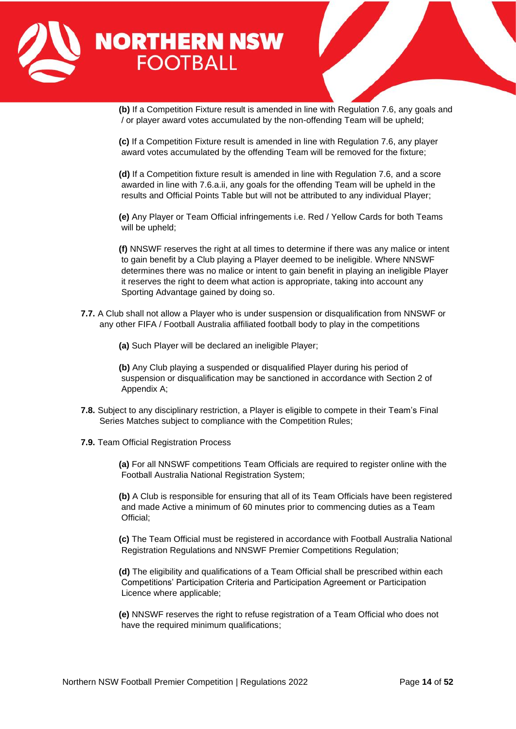

**(b)** If a Competition Fixture result is amended in line with Regulation 7.6, any goals and / or player award votes accumulated by the non-offending Team will be upheld;

**(c)** If a Competition Fixture result is amended in line with Regulation 7.6, any player award votes accumulated by the offending Team will be removed for the fixture;

**(d)** If a Competition fixture result is amended in line with Regulation 7.6, and a score awarded in line with 7.6.a.ii, any goals for the offending Team will be upheld in the results and Official Points Table but will not be attributed to any individual Player;

**(e)** Any Player or Team Official infringements i.e. Red / Yellow Cards for both Teams will be upheld;

**(f)** NNSWF reserves the right at all times to determine if there was any malice or intent to gain benefit by a Club playing a Player deemed to be ineligible. Where NNSWF determines there was no malice or intent to gain benefit in playing an ineligible Player it reserves the right to deem what action is appropriate, taking into account any Sporting Advantage gained by doing so.

**7.7.** A Club shall not allow a Player who is under suspension or disqualification from NNSWF or any other FIFA / Football Australia affiliated football body to play in the competitions

**(a)** Such Player will be declared an ineligible Player;

**(b)** Any Club playing a suspended or disqualified Player during his period of suspension or disqualification may be sanctioned in accordance with Section 2 of Appendix A;

- **7.8.** Subject to any disciplinary restriction, a Player is eligible to compete in their Team's Final Series Matches subject to compliance with the Competition Rules;
- **7.9.** Team Official Registration Process

**(a)** For all NNSWF competitions Team Officials are required to register online with the Football Australia National Registration System;

**(b)** A Club is responsible for ensuring that all of its Team Officials have been registered and made Active a minimum of 60 minutes prior to commencing duties as a Team Official;

**(c)** The Team Official must be registered in accordance with Football Australia National Registration Regulations and NNSWF Premier Competitions Regulation;

**(d)** The eligibility and qualifications of a Team Official shall be prescribed within each Competitions' Participation Criteria and Participation Agreement or Participation Licence where applicable;

**(e)** NNSWF reserves the right to refuse registration of a Team Official who does not have the required minimum qualifications;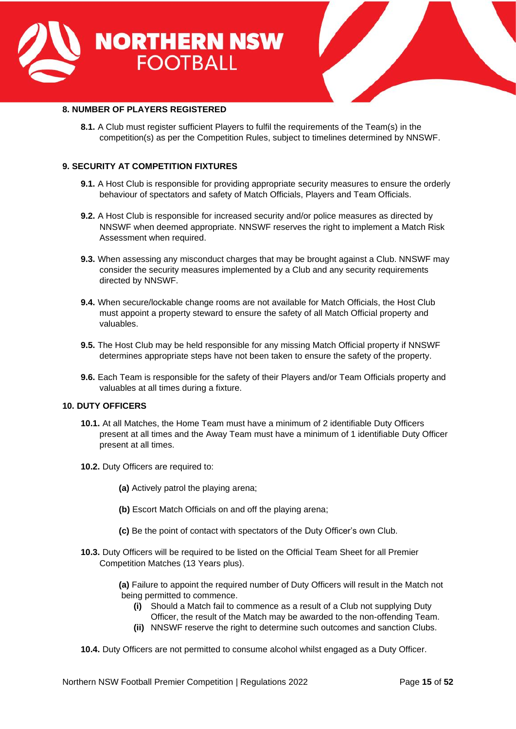



# <span id="page-14-0"></span>**8. NUMBER OF PLAYERS REGISTERED**

**8.1.** A Club must register sufficient Players to fulfil the requirements of the Team(s) in the competition(s) as per the Competition Rules, subject to timelines determined by NNSWF.

# <span id="page-14-1"></span>**9. SECURITY AT COMPETITION FIXTURES**

- **9.1.** A Host Club is responsible for providing appropriate security measures to ensure the orderly behaviour of spectators and safety of Match Officials, Players and Team Officials.
- **9.2.** A Host Club is responsible for increased security and/or police measures as directed by NNSWF when deemed appropriate. NNSWF reserves the right to implement a Match Risk Assessment when required.
- **9.3.** When assessing any misconduct charges that may be brought against a Club. NNSWF may consider the security measures implemented by a Club and any security requirements directed by NNSWF.
- **9.4.** When secure/lockable change rooms are not available for Match Officials, the Host Club must appoint a property steward to ensure the safety of all Match Official property and valuables.
- **9.5.** The Host Club may be held responsible for any missing Match Official property if NNSWF determines appropriate steps have not been taken to ensure the safety of the property.
- **9.6.** Each Team is responsible for the safety of their Players and/or Team Officials property and valuables at all times during a fixture.

#### <span id="page-14-2"></span>**10. DUTY OFFICERS**

- **10.1.** At all Matches, the Home Team must have a minimum of 2 identifiable Duty Officers present at all times and the Away Team must have a minimum of 1 identifiable Duty Officer present at all times.
- **10.2.** Duty Officers are required to:
	- **(a)** Actively patrol the playing arena;
	- **(b)** Escort Match Officials on and off the playing arena;
	- **(c)** Be the point of contact with spectators of the Duty Officer's own Club.
- **10.3.** Duty Officers will be required to be listed on the Official Team Sheet for all Premier Competition Matches (13 Years plus).

**(a)** Failure to appoint the required number of Duty Officers will result in the Match not being permitted to commence.

- **(i)** Should a Match fail to commence as a result of a Club not supplying Duty Officer, the result of the Match may be awarded to the non-offending Team.
- **(ii)** NNSWF reserve the right to determine such outcomes and sanction Clubs.
- **10.4.** Duty Officers are not permitted to consume alcohol whilst engaged as a Duty Officer.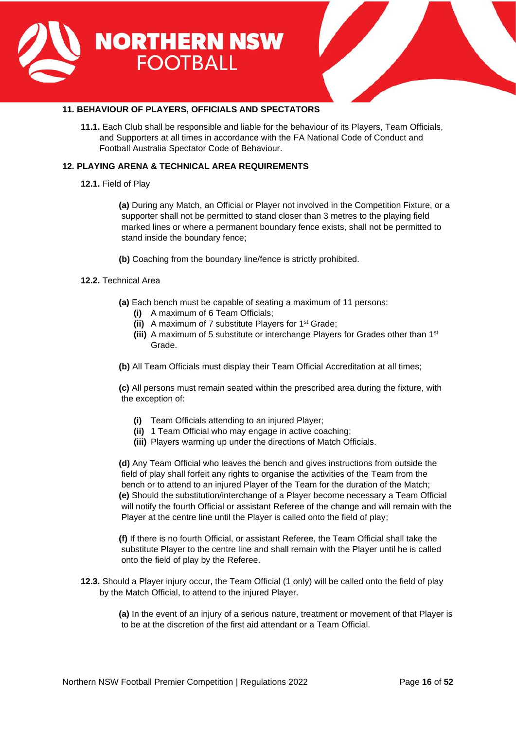



# <span id="page-15-0"></span>**11. BEHAVIOUR OF PLAYERS, OFFICIALS AND SPECTATORS**

**11.1.** Each Club shall be responsible and liable for the behaviour of its Players, Team Officials, and Supporters at all times in accordance with the FA National Code of Conduct and Football Australia Spectator Code of Behaviour.

# <span id="page-15-1"></span>**12. PLAYING ARENA & TECHNICAL AREA REQUIREMENTS**

**12.1.** Field of Play

**(a)** During any Match, an Official or Player not involved in the Competition Fixture, or a supporter shall not be permitted to stand closer than 3 metres to the playing field marked lines or where a permanent boundary fence exists, shall not be permitted to stand inside the boundary fence;

**(b)** Coaching from the boundary line/fence is strictly prohibited.

# **12.2.** Technical Area

- **(a)** Each bench must be capable of seating a maximum of 11 persons:
	- **(i)** A maximum of 6 Team Officials;
	- **(ii)** A maximum of 7 substitute Players for 1st Grade;
	- **(iii)** A maximum of 5 substitute or interchange Players for Grades other than 1st Grade.
- **(b)** All Team Officials must display their Team Official Accreditation at all times;

**(c)** All persons must remain seated within the prescribed area during the fixture, with the exception of:

- **(i)** Team Officials attending to an injured Player;
- **(ii)** 1 Team Official who may engage in active coaching;
- **(iii)** Players warming up under the directions of Match Officials.

**(d)** Any Team Official who leaves the bench and gives instructions from outside the field of play shall forfeit any rights to organise the activities of the Team from the bench or to attend to an injured Player of the Team for the duration of the Match; **(e)** Should the substitution/interchange of a Player become necessary a Team Official will notify the fourth Official or assistant Referee of the change and will remain with the Player at the centre line until the Player is called onto the field of play;

**(f)** If there is no fourth Official, or assistant Referee, the Team Official shall take the substitute Player to the centre line and shall remain with the Player until he is called onto the field of play by the Referee.

**12.3.** Should a Player injury occur, the Team Official (1 only) will be called onto the field of play by the Match Official, to attend to the injured Player.

> **(a)** In the event of an injury of a serious nature, treatment or movement of that Player is to be at the discretion of the first aid attendant or a Team Official.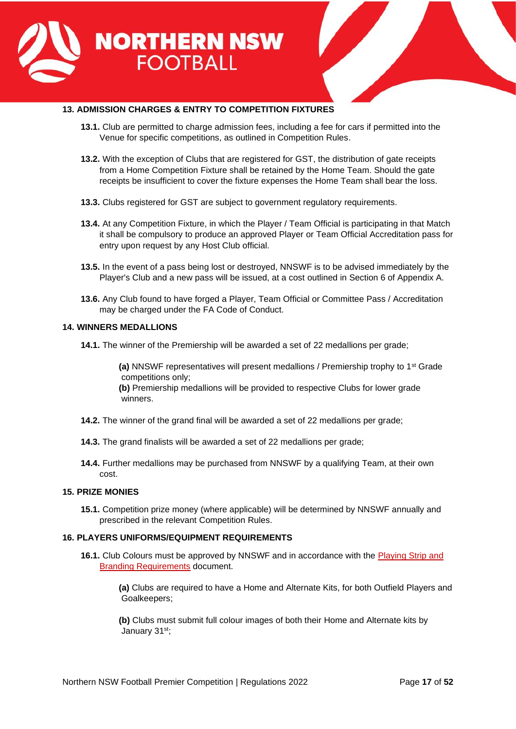



# <span id="page-16-0"></span>**13. ADMISSION CHARGES & ENTRY TO COMPETITION FIXTURES**

- **13.1.** Club are permitted to charge admission fees, including a fee for cars if permitted into the Venue for specific competitions, as outlined in Competition Rules.
- **13.2.** With the exception of Clubs that are registered for GST, the distribution of gate receipts from a Home Competition Fixture shall be retained by the Home Team. Should the gate receipts be insufficient to cover the fixture expenses the Home Team shall bear the loss.
- **13.3.** Clubs registered for GST are subject to government regulatory requirements.
- **13.4.** At any Competition Fixture, in which the Player / Team Official is participating in that Match it shall be compulsory to produce an approved Player or Team Official Accreditation pass for entry upon request by any Host Club official.
- **13.5.** In the event of a pass being lost or destroyed, NNSWF is to be advised immediately by the Player's Club and a new pass will be issued, at a cost outlined in Section 6 of Appendix A.
- **13.6.** Any Club found to have forged a Player, Team Official or Committee Pass / Accreditation may be charged under the FA Code of Conduct.

# <span id="page-16-1"></span>**14. WINNERS MEDALLIONS**

**14.1.** The winner of the Premiership will be awarded a set of 22 medallions per grade;

**(a)** NNSWF representatives will present medallions / Premiership trophy to 1st Grade competitions only;

**(b)** Premiership medallions will be provided to respective Clubs for lower grade winners.

- **14.2.** The winner of the grand final will be awarded a set of 22 medallions per grade;
- **14.3.** The grand finalists will be awarded a set of 22 medallions per grade;
- **14.4.** Further medallions may be purchased from NNSWF by a qualifying Team, at their own cost.

#### <span id="page-16-2"></span>**15. PRIZE MONIES**

**15.1.** Competition prize money (where applicable) will be determined by NNSWF annually and prescribed in the relevant Competition Rules.

# <span id="page-16-3"></span>**16. PLAYERS UNIFORMS/EQUIPMENT REQUIREMENTS**

- **16.1.** Club Colours must be approved by NNSWF and in accordance with the [Playing Strip and](https://northernnswfootball.com.au/wp-content/uploads/2021/12/Playing-Strip-Branding-Requirements-NNSWF-Premier-Competitions-19102021.pdf)  [Branding Requirements](https://northernnswfootball.com.au/wp-content/uploads/2021/12/Playing-Strip-Branding-Requirements-NNSWF-Premier-Competitions-19102021.pdf) document.
	- **(a)** Clubs are required to have a Home and Alternate Kits, for both Outfield Players and Goalkeepers;

**(b)** Clubs must submit full colour images of both their Home and Alternate kits by January 31<sup>st</sup>: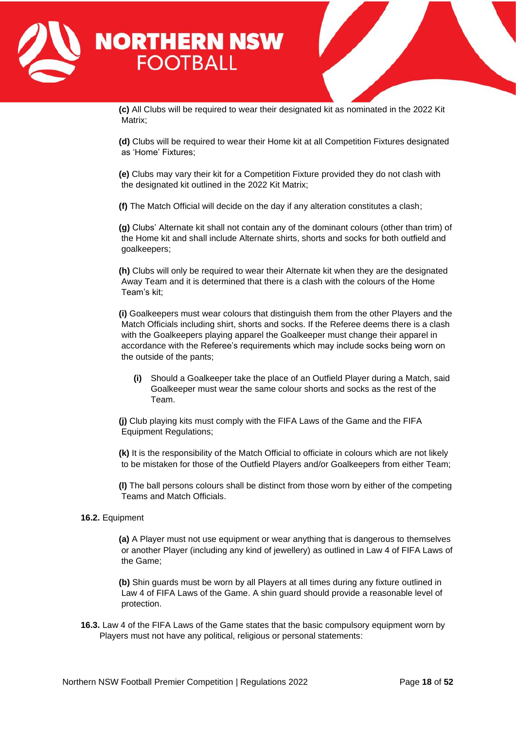

**(c)** All Clubs will be required to wear their designated kit as nominated in the 2022 Kit Matrix;

**(d)** Clubs will be required to wear their Home kit at all Competition Fixtures designated as 'Home' Fixtures;

**(e)** Clubs may vary their kit for a Competition Fixture provided they do not clash with the designated kit outlined in the 2022 Kit Matrix;

**(f)** The Match Official will decide on the day if any alteration constitutes a clash;

**(g)** Clubs' Alternate kit shall not contain any of the dominant colours (other than trim) of the Home kit and shall include Alternate shirts, shorts and socks for both outfield and goalkeepers;

**(h)** Clubs will only be required to wear their Alternate kit when they are the designated Away Team and it is determined that there is a clash with the colours of the Home Team's kit;

**(i)** Goalkeepers must wear colours that distinguish them from the other Players and the Match Officials including shirt, shorts and socks. If the Referee deems there is a clash with the Goalkeepers playing apparel the Goalkeeper must change their apparel in accordance with the Referee's requirements which may include socks being worn on the outside of the pants;

**(i)** Should a Goalkeeper take the place of an Outfield Player during a Match, said Goalkeeper must wear the same colour shorts and socks as the rest of the Team.

**(j)** Club playing kits must comply with the FIFA Laws of the Game and the FIFA Equipment Regulations;

**(k)** It is the responsibility of the Match Official to officiate in colours which are not likely to be mistaken for those of the Outfield Players and/or Goalkeepers from either Team;

**(l)** The ball persons colours shall be distinct from those worn by either of the competing Teams and Match Officials.

#### **16.2.** Equipment

**(a)** A Player must not use equipment or wear anything that is dangerous to themselves or another Player (including any kind of jewellery) as outlined in Law 4 of FIFA Laws of the Game;

**(b)** Shin guards must be worn by all Players at all times during any fixture outlined in Law 4 of FIFA Laws of the Game. A shin guard should provide a reasonable level of protection.

**16.3.** Law 4 of the FIFA Laws of the Game states that the basic compulsory equipment worn by Players must not have any political, religious or personal statements: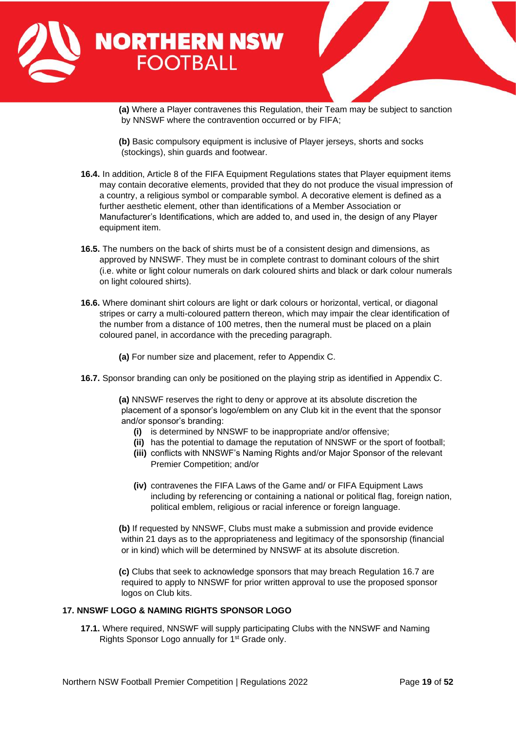

**(a)** Where a Player contravenes this Regulation, their Team may be subject to sanction by NNSWF where the contravention occurred or by FIFA;

- **(b)** Basic compulsory equipment is inclusive of Player jerseys, shorts and socks (stockings), shin guards and footwear.
- **16.4.** In addition, Article 8 of the FIFA Equipment Regulations states that Player equipment items may contain decorative elements, provided that they do not produce the visual impression of a country, a religious symbol or comparable symbol. A decorative element is defined as a further aesthetic element, other than identifications of a Member Association or Manufacturer's Identifications, which are added to, and used in, the design of any Player equipment item.
- **16.5.** The numbers on the back of shirts must be of a consistent design and dimensions, as approved by NNSWF. They must be in complete contrast to dominant colours of the shirt (i.e. white or light colour numerals on dark coloured shirts and black or dark colour numerals on light coloured shirts).
- **16.6.** Where dominant shirt colours are light or dark colours or horizontal, vertical, or diagonal stripes or carry a multi-coloured pattern thereon, which may impair the clear identification of the number from a distance of 100 metres, then the numeral must be placed on a plain coloured panel, in accordance with the preceding paragraph.
	- **(a)** For number size and placement, refer to Appendix C.
- **16.7.** Sponsor branding can only be positioned on the playing strip as identified in Appendix C.

**(a)** NNSWF reserves the right to deny or approve at its absolute discretion the placement of a sponsor's logo/emblem on any Club kit in the event that the sponsor and/or sponsor's branding:

- **(i)** is determined by NNSWF to be inappropriate and/or offensive;
- **(ii)** has the potential to damage the reputation of NNSWF or the sport of football;
- **(iii)** conflicts with NNSWF's Naming Rights and/or Major Sponsor of the relevant Premier Competition; and/or
- **(iv)** contravenes the FIFA Laws of the Game and/ or FIFA Equipment Laws including by referencing or containing a national or political flag, foreign nation, political emblem, religious or racial inference or foreign language.

**(b)** If requested by NNSWF, Clubs must make a submission and provide evidence within 21 days as to the appropriateness and legitimacy of the sponsorship (financial or in kind) which will be determined by NNSWF at its absolute discretion.

**(c)** Clubs that seek to acknowledge sponsors that may breach Regulation 16.7 are required to apply to NNSWF for prior written approval to use the proposed sponsor logos on Club kits.

#### <span id="page-18-0"></span>**17. NNSWF LOGO & NAMING RIGHTS SPONSOR LOGO**

**17.1.** Where required, NNSWF will supply participating Clubs with the NNSWF and Naming Rights Sponsor Logo annually for 1<sup>st</sup> Grade only.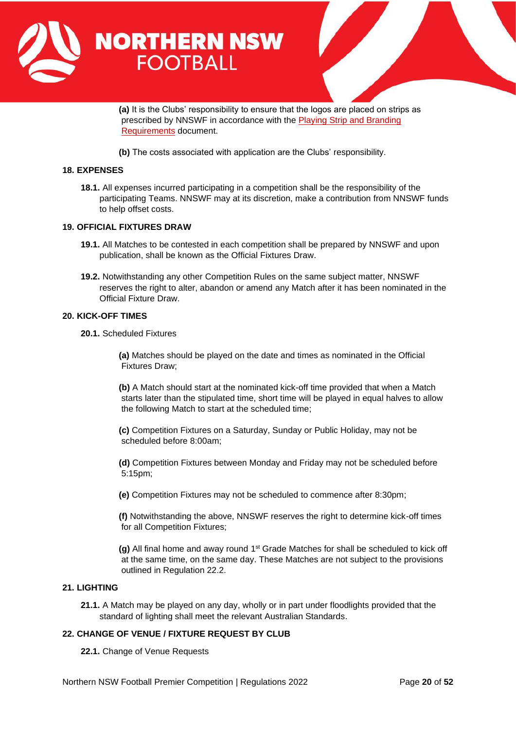

**(a)** It is the Clubs' responsibility to ensure that the logos are placed on strips as prescribed by NNSWF in accordance with the [Playing Strip and Branding](https://northernnswfootball.com.au/wp-content/uploads/2021/12/Playing-Strip-Branding-Requirements-NNSWF-Premier-Competitions-19102021.pdf)  [Requirements](https://northernnswfootball.com.au/wp-content/uploads/2021/12/Playing-Strip-Branding-Requirements-NNSWF-Premier-Competitions-19102021.pdf) document.

**(b)** The costs associated with application are the Clubs' responsibility.

#### <span id="page-19-0"></span>**18. EXPENSES**

**18.1.** All expenses incurred participating in a competition shall be the responsibility of the participating Teams. NNSWF may at its discretion, make a contribution from NNSWF funds to help offset costs.

#### <span id="page-19-1"></span>**19. OFFICIAL FIXTURES DRAW**

- **19.1.** All Matches to be contested in each competition shall be prepared by NNSWF and upon publication, shall be known as the Official Fixtures Draw.
- **19.2.** Notwithstanding any other Competition Rules on the same subject matter, NNSWF reserves the right to alter, abandon or amend any Match after it has been nominated in the Official Fixture Draw.

#### <span id="page-19-2"></span>**20. KICK-OFF TIMES**

**20.1.** Scheduled Fixtures

**(a)** Matches should be played on the date and times as nominated in the Official Fixtures Draw;

**(b)** A Match should start at the nominated kick-off time provided that when a Match starts later than the stipulated time, short time will be played in equal halves to allow the following Match to start at the scheduled time;

**(c)** Competition Fixtures on a Saturday, Sunday or Public Holiday, may not be scheduled before 8:00am;

**(d)** Competition Fixtures between Monday and Friday may not be scheduled before 5:15pm;

**(e)** Competition Fixtures may not be scheduled to commence after 8:30pm;

**(f)** Notwithstanding the above, NNSWF reserves the right to determine kick-off times for all Competition Fixtures;

**(g)** All final home and away round 1<sup>st</sup> Grade Matches for shall be scheduled to kick off at the same time, on the same day. These Matches are not subject to the provisions outlined in Regulation 22.2.

#### <span id="page-19-3"></span>**21. LIGHTING**

**21.1.** A Match may be played on any day, wholly or in part under floodlights provided that the standard of lighting shall meet the relevant Australian Standards.

# <span id="page-19-4"></span>**22. CHANGE OF VENUE / FIXTURE REQUEST BY CLUB**

**22.1.** Change of Venue Requests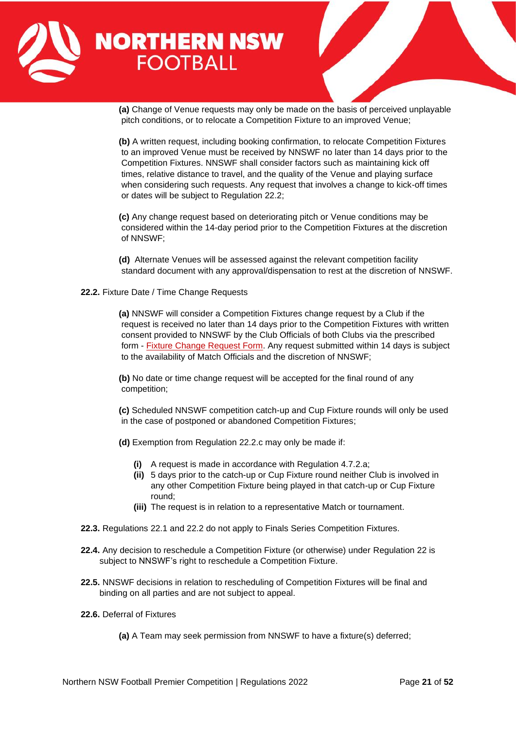

**(a)** Change of Venue requests may only be made on the basis of perceived unplayable pitch conditions, or to relocate a Competition Fixture to an improved Venue;

**(b)** A written request, including booking confirmation, to relocate Competition Fixtures to an improved Venue must be received by NNSWF no later than 14 days prior to the Competition Fixtures. NNSWF shall consider factors such as maintaining kick off times, relative distance to travel, and the quality of the Venue and playing surface when considering such requests. Any request that involves a change to kick-off times or dates will be subject to Regulation 22.2;

**(c)** Any change request based on deteriorating pitch or Venue conditions may be considered within the 14-day period prior to the Competition Fixtures at the discretion of NNSWF;

**(d)** Alternate Venues will be assessed against the relevant competition facility standard document with any approval/dispensation to rest at the discretion of NNSWF.

**22.2.** Fixture Date / Time Change Requests

**(a)** NNSWF will consider a Competition Fixtures change request by a Club if the request is received no later than 14 days prior to the Competition Fixtures with written consent provided to NNSWF by the Club Officials of both Clubs via the prescribed form - [Fixture Change Request Form.](https://form.jotform.com/212828036174051) Any request submitted within 14 days is subject to the availability of Match Officials and the discretion of NNSWF;

**(b)** No date or time change request will be accepted for the final round of any competition;

**(c)** Scheduled NNSWF competition catch-up and Cup Fixture rounds will only be used in the case of postponed or abandoned Competition Fixtures;

- **(d)** Exemption from Regulation 22.2.c may only be made if:
	- **(i)** A request is made in accordance with Regulation 4.7.2.a;
	- **(ii)** 5 days prior to the catch-up or Cup Fixture round neither Club is involved in any other Competition Fixture being played in that catch-up or Cup Fixture round;
	- **(iii)** The request is in relation to a representative Match or tournament.
- **22.3.** Regulations 22.1 and 22.2 do not apply to Finals Series Competition Fixtures.
- **22.4.** Any decision to reschedule a Competition Fixture (or otherwise) under Regulation 22 is subject to NNSWF's right to reschedule a Competition Fixture.
- **22.5.** NNSWF decisions in relation to rescheduling of Competition Fixtures will be final and binding on all parties and are not subject to appeal.
- **22.6.** Deferral of Fixtures
	- **(a)** A Team may seek permission from NNSWF to have a fixture(s) deferred;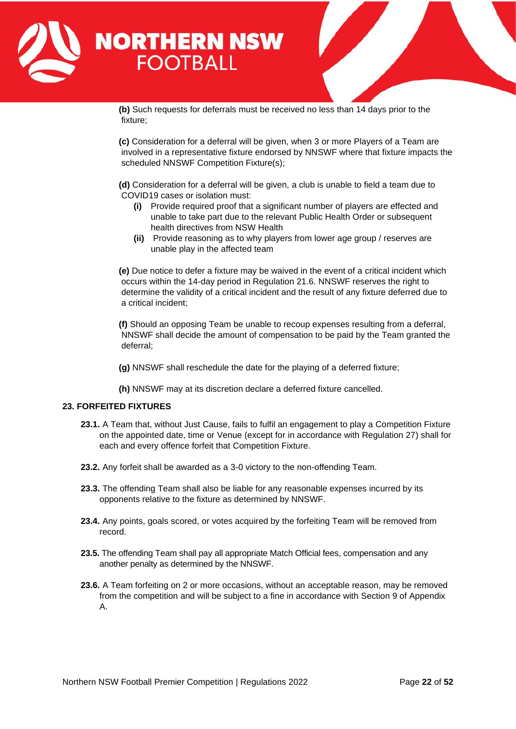

**(b)** Such requests for deferrals must be received no less than 14 days prior to the fixture;

**(c)** Consideration for a deferral will be given, when 3 or more Players of a Team are involved in a representative fixture endorsed by NNSWF where that fixture impacts the scheduled NNSWF Competition Fixture(s);

**(d)** Consideration for a deferral will be given, a club is unable to field a team due to COVID19 cases or isolation must:

- **(i)** Provide required proof that a significant number of players are effected and unable to take part due to the relevant Public Health Order or subsequent health directives from NSW Health
- **(ii)** Provide reasoning as to why players from lower age group / reserves are unable play in the affected team

**(e)** Due notice to defer a fixture may be waived in the event of a critical incident which occurs within the 14-day period in Regulation 21.6. NNSWF reserves the right to determine the validity of a critical incident and the result of any fixture deferred due to a critical incident;

**(f)** Should an opposing Team be unable to recoup expenses resulting from a deferral, NNSWF shall decide the amount of compensation to be paid by the Team granted the deferral;

- **(g)** NNSWF shall reschedule the date for the playing of a deferred fixture;
- **(h)** NNSWF may at its discretion declare a deferred fixture cancelled.

# <span id="page-21-0"></span>**23. FORFEITED FIXTURES**

- **23.1.** A Team that, without Just Cause, fails to fulfil an engagement to play a Competition Fixture on the appointed date, time or Venue (except for in accordance with Regulation 27) shall for each and every offence forfeit that Competition Fixture.
- **23.2.** Any forfeit shall be awarded as a 3-0 victory to the non-offending Team.
- **23.3.** The offending Team shall also be liable for any reasonable expenses incurred by its opponents relative to the fixture as determined by NNSWF.
- **23.4.** Any points, goals scored, or votes acquired by the forfeiting Team will be removed from record.
- **23.5.** The offending Team shall pay all appropriate Match Official fees, compensation and any another penalty as determined by the NNSWF.
- **23.6.** A Team forfeiting on 2 or more occasions, without an acceptable reason, may be removed from the competition and will be subject to a fine in accordance with Section 9 of Appendix A.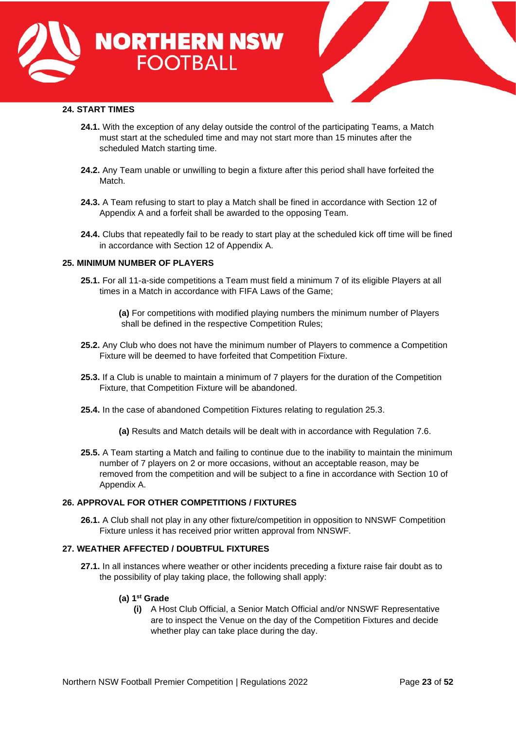



# <span id="page-22-0"></span>**24. START TIMES**

- **24.1.** With the exception of any delay outside the control of the participating Teams, a Match must start at the scheduled time and may not start more than 15 minutes after the scheduled Match starting time.
- **24.2.** Any Team unable or unwilling to begin a fixture after this period shall have forfeited the Match.
- **24.3.** A Team refusing to start to play a Match shall be fined in accordance with Section 12 of Appendix A and a forfeit shall be awarded to the opposing Team.
- **24.4.** Clubs that repeatedly fail to be ready to start play at the scheduled kick off time will be fined in accordance with Section 12 of Appendix A.

#### <span id="page-22-1"></span>**25. MINIMUM NUMBER OF PLAYERS**

- **25.1.** For all 11-a-side competitions a Team must field a minimum 7 of its eligible Players at all times in a Match in accordance with FIFA Laws of the Game;
	- **(a)** For competitions with modified playing numbers the minimum number of Players shall be defined in the respective Competition Rules;
- **25.2.** Any Club who does not have the minimum number of Players to commence a Competition Fixture will be deemed to have forfeited that Competition Fixture.
- **25.3.** If a Club is unable to maintain a minimum of 7 players for the duration of the Competition Fixture, that Competition Fixture will be abandoned.
- **25.4.** In the case of abandoned Competition Fixtures relating to regulation 25.3.
	- **(a)** Results and Match details will be dealt with in accordance with Regulation 7.6.
- **25.5.** A Team starting a Match and failing to continue due to the inability to maintain the minimum number of 7 players on 2 or more occasions, without an acceptable reason, may be removed from the competition and will be subject to a fine in accordance with Section 10 of Appendix A.

# <span id="page-22-2"></span>**26. APPROVAL FOR OTHER COMPETITIONS / FIXTURES**

**26.1.** A Club shall not play in any other fixture/competition in opposition to NNSWF Competition Fixture unless it has received prior written approval from NNSWF.

### <span id="page-22-3"></span>**27. WEATHER AFFECTED / DOUBTFUL FIXTURES**

**27.1.** In all instances where weather or other incidents preceding a fixture raise fair doubt as to the possibility of play taking place, the following shall apply:

#### **(a) 1 st Grade**

**(i)** A Host Club Official, a Senior Match Official and/or NNSWF Representative are to inspect the Venue on the day of the Competition Fixtures and decide whether play can take place during the day.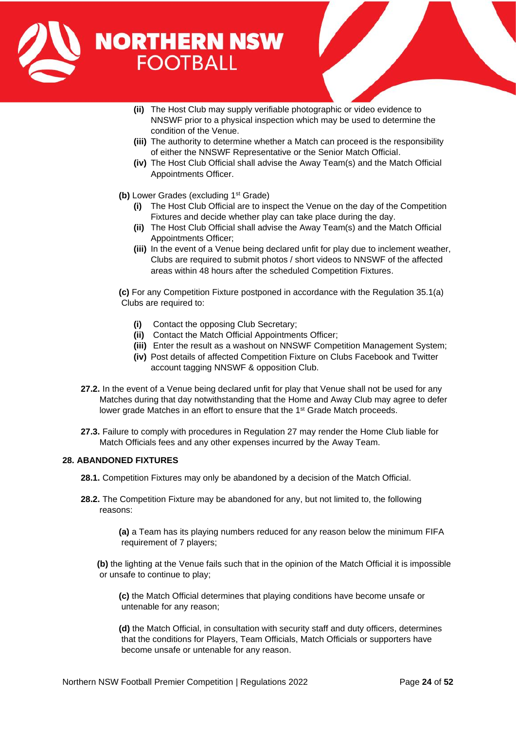

- **(ii)** The Host Club may supply verifiable photographic or video evidence to NNSWF prior to a physical inspection which may be used to determine the condition of the Venue.
- **(iii)** The authority to determine whether a Match can proceed is the responsibility of either the NNSWF Representative or the Senior Match Official.
- **(iv)** The Host Club Official shall advise the Away Team(s) and the Match Official Appointments Officer.
- **(b)** Lower Grades (excluding 1st Grade)
	- **(i)** The Host Club Official are to inspect the Venue on the day of the Competition Fixtures and decide whether play can take place during the day.
	- **(ii)** The Host Club Official shall advise the Away Team(s) and the Match Official Appointments Officer;
	- **(iii)** In the event of a Venue being declared unfit for play due to inclement weather, Clubs are required to submit photos / short videos to NNSWF of the affected areas within 48 hours after the scheduled Competition Fixtures.

**(c)** For any Competition Fixture postponed in accordance with the Regulation 35.1(a) Clubs are required to:

- **(i)** Contact the opposing Club Secretary;
- **(ii)** Contact the Match Official Appointments Officer;
- **(iii)** Enter the result as a washout on NNSWF Competition Management System;
- **(iv)** Post details of affected Competition Fixture on Clubs Facebook and Twitter account tagging NNSWF & opposition Club.
- **27.2.** In the event of a Venue being declared unfit for play that Venue shall not be used for any Matches during that day notwithstanding that the Home and Away Club may agree to defer lower grade Matches in an effort to ensure that the 1<sup>st</sup> Grade Match proceeds.
- **27.3.** Failure to comply with procedures in Regulation 27 may render the Home Club liable for Match Officials fees and any other expenses incurred by the Away Team.

# <span id="page-23-0"></span>**28. ABANDONED FIXTURES**

**28.1.** Competition Fixtures may only be abandoned by a decision of the Match Official.

**28.2.** The Competition Fixture may be abandoned for any, but not limited to, the following reasons:

> **(a)** a Team has its playing numbers reduced for any reason below the minimum FIFA requirement of 7 players;

**(b)** the lighting at the Venue fails such that in the opinion of the Match Official it is impossible or unsafe to continue to play;

**(c)** the Match Official determines that playing conditions have become unsafe or untenable for any reason;

**(d)** the Match Official, in consultation with security staff and duty officers, determines that the conditions for Players, Team Officials, Match Officials or supporters have become unsafe or untenable for any reason.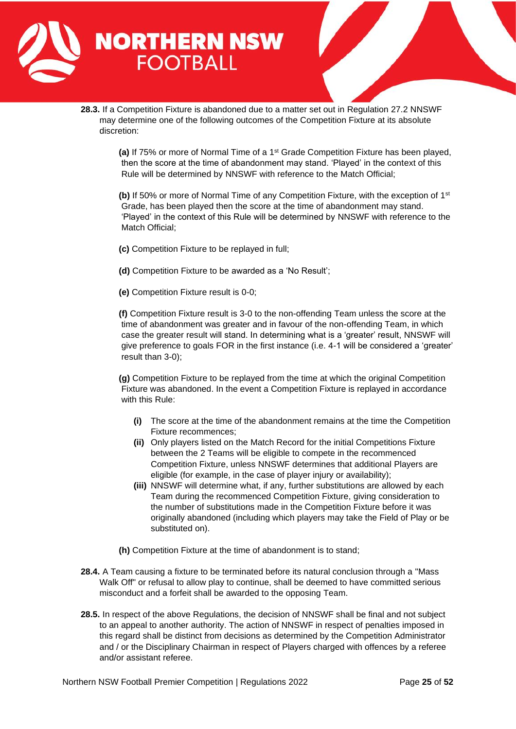

**28.3.** If a Competition Fixture is abandoned due to a matter set out in Regulation 27.2 NNSWF may determine one of the following outcomes of the Competition Fixture at its absolute discretion:

> **(a)** If 75% or more of Normal Time of a 1st Grade Competition Fixture has been played, then the score at the time of abandonment may stand. 'Played' in the context of this Rule will be determined by NNSWF with reference to the Match Official;

> **(b)** If 50% or more of Normal Time of any Competition Fixture, with the exception of 1<sup>st</sup> Grade, has been played then the score at the time of abandonment may stand. 'Played' in the context of this Rule will be determined by NNSWF with reference to the Match Official;

**(c)** Competition Fixture to be replayed in full;

**(d)** Competition Fixture to be awarded as a 'No Result';

**(e)** Competition Fixture result is 0-0;

**(f)** Competition Fixture result is 3-0 to the non-offending Team unless the score at the time of abandonment was greater and in favour of the non-offending Team, in which case the greater result will stand. In determining what is a 'greater' result, NNSWF will give preference to goals FOR in the first instance (i.e. 4-1 will be considered a 'greater' result than 3-0);

**(g)** Competition Fixture to be replayed from the time at which the original Competition Fixture was abandoned. In the event a Competition Fixture is replayed in accordance with this Rule:

- **(i)** The score at the time of the abandonment remains at the time the Competition Fixture recommences;
- **(ii)** Only players listed on the Match Record for the initial Competitions Fixture between the 2 Teams will be eligible to compete in the recommenced Competition Fixture, unless NNSWF determines that additional Players are eligible (for example, in the case of player injury or availability);
- **(iii)** NNSWF will determine what, if any, further substitutions are allowed by each Team during the recommenced Competition Fixture, giving consideration to the number of substitutions made in the Competition Fixture before it was originally abandoned (including which players may take the Field of Play or be substituted on).
- **(h)** Competition Fixture at the time of abandonment is to stand;
- **28.4.** A Team causing a fixture to be terminated before its natural conclusion through a "Mass Walk Off" or refusal to allow play to continue, shall be deemed to have committed serious misconduct and a forfeit shall be awarded to the opposing Team.
- **28.5.** In respect of the above Regulations, the decision of NNSWF shall be final and not subject to an appeal to another authority. The action of NNSWF in respect of penalties imposed in this regard shall be distinct from decisions as determined by the Competition Administrator and / or the Disciplinary Chairman in respect of Players charged with offences by a referee and/or assistant referee.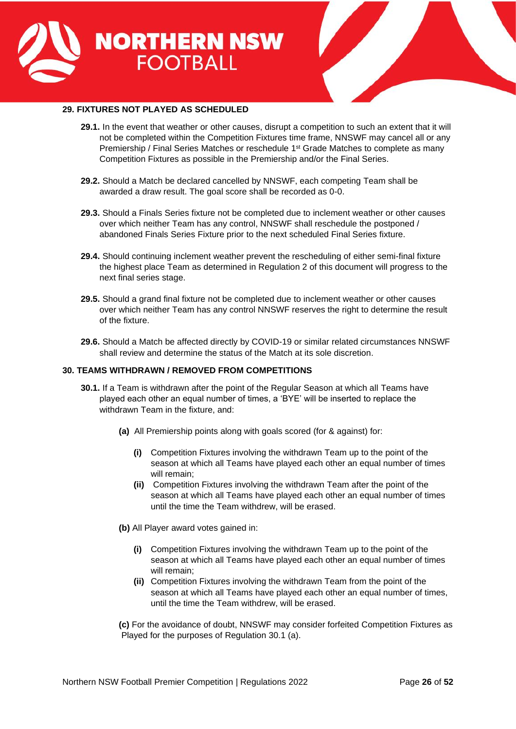



# <span id="page-25-0"></span>**29. FIXTURES NOT PLAYED AS SCHEDULED**

- **29.1.** In the event that weather or other causes, disrupt a competition to such an extent that it will not be completed within the Competition Fixtures time frame, NNSWF may cancel all or any Premiership / Final Series Matches or reschedule 1<sup>st</sup> Grade Matches to complete as many Competition Fixtures as possible in the Premiership and/or the Final Series.
- **29.2.** Should a Match be declared cancelled by NNSWF, each competing Team shall be awarded a draw result. The goal score shall be recorded as 0-0.
- **29.3.** Should a Finals Series fixture not be completed due to inclement weather or other causes over which neither Team has any control, NNSWF shall reschedule the postponed / abandoned Finals Series Fixture prior to the next scheduled Final Series fixture.
- **29.4.** Should continuing inclement weather prevent the rescheduling of either semi-final fixture the highest place Team as determined in Regulation 2 of this document will progress to the next final series stage.
- **29.5.** Should a grand final fixture not be completed due to inclement weather or other causes over which neither Team has any control NNSWF reserves the right to determine the result of the fixture.
- **29.6.** Should a Match be affected directly by COVID-19 or similar related circumstances NNSWF shall review and determine the status of the Match at its sole discretion.

#### <span id="page-25-1"></span>**30. TEAMS WITHDRAWN / REMOVED FROM COMPETITIONS**

- **30.1.** If a Team is withdrawn after the point of the Regular Season at which all Teams have played each other an equal number of times, a 'BYE' will be inserted to replace the withdrawn Team in the fixture, and:
	- **(a)** All Premiership points along with goals scored (for & against) for:
		- **(i)** Competition Fixtures involving the withdrawn Team up to the point of the season at which all Teams have played each other an equal number of times will remain;
		- **(ii)** Competition Fixtures involving the withdrawn Team after the point of the season at which all Teams have played each other an equal number of times until the time the Team withdrew, will be erased.
	- **(b)** All Player award votes gained in:
		- **(i)** Competition Fixtures involving the withdrawn Team up to the point of the season at which all Teams have played each other an equal number of times will remain;
		- **(ii)** Competition Fixtures involving the withdrawn Team from the point of the season at which all Teams have played each other an equal number of times, until the time the Team withdrew, will be erased.

**(c)** For the avoidance of doubt, NNSWF may consider forfeited Competition Fixtures as Played for the purposes of Regulation 30.1 (a).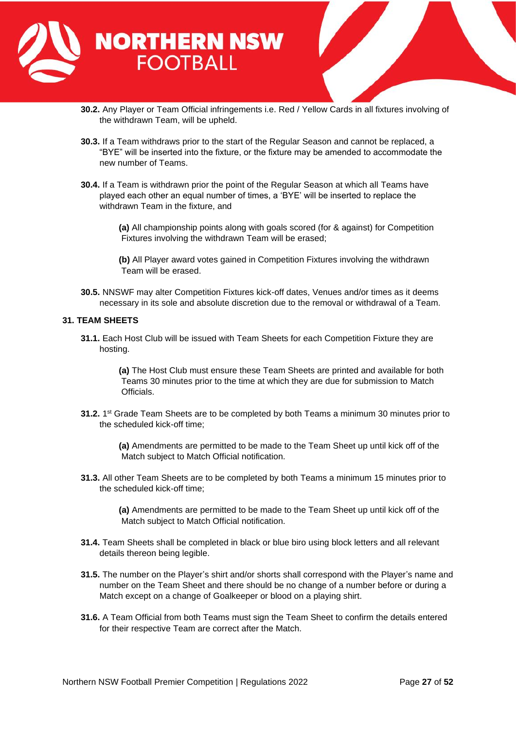

- **30.2.** Any Player or Team Official infringements i.e. Red / Yellow Cards in all fixtures involving of the withdrawn Team, will be upheld.
- **30.3.** If a Team withdraws prior to the start of the Regular Season and cannot be replaced, a "BYE" will be inserted into the fixture, or the fixture may be amended to accommodate the new number of Teams.
- **30.4.** If a Team is withdrawn prior the point of the Regular Season at which all Teams have played each other an equal number of times, a 'BYE' will be inserted to replace the withdrawn Team in the fixture, and
	- **(a)** All championship points along with goals scored (for & against) for Competition Fixtures involving the withdrawn Team will be erased;
	- **(b)** All Player award votes gained in Competition Fixtures involving the withdrawn Team will be erased.
- **30.5.** NNSWF may alter Competition Fixtures kick-off dates, Venues and/or times as it deems necessary in its sole and absolute discretion due to the removal or withdrawal of a Team.

#### <span id="page-26-0"></span>**31. TEAM SHEETS**

**31.1.** Each Host Club will be issued with Team Sheets for each Competition Fixture they are hosting.

> **(a)** The Host Club must ensure these Team Sheets are printed and available for both Teams 30 minutes prior to the time at which they are due for submission to Match Officials.

**31.2.** 1<sup>st</sup> Grade Team Sheets are to be completed by both Teams a minimum 30 minutes prior to the scheduled kick-off time;

> **(a)** Amendments are permitted to be made to the Team Sheet up until kick off of the Match subject to Match Official notification.

**31.3.** All other Team Sheets are to be completed by both Teams a minimum 15 minutes prior to the scheduled kick-off time;

> **(a)** Amendments are permitted to be made to the Team Sheet up until kick off of the Match subject to Match Official notification.

- **31.4.** Team Sheets shall be completed in black or blue biro using block letters and all relevant details thereon being legible.
- **31.5.** The number on the Player's shirt and/or shorts shall correspond with the Player's name and number on the Team Sheet and there should be no change of a number before or during a Match except on a change of Goalkeeper or blood on a playing shirt.
- **31.6.** A Team Official from both Teams must sign the Team Sheet to confirm the details entered for their respective Team are correct after the Match.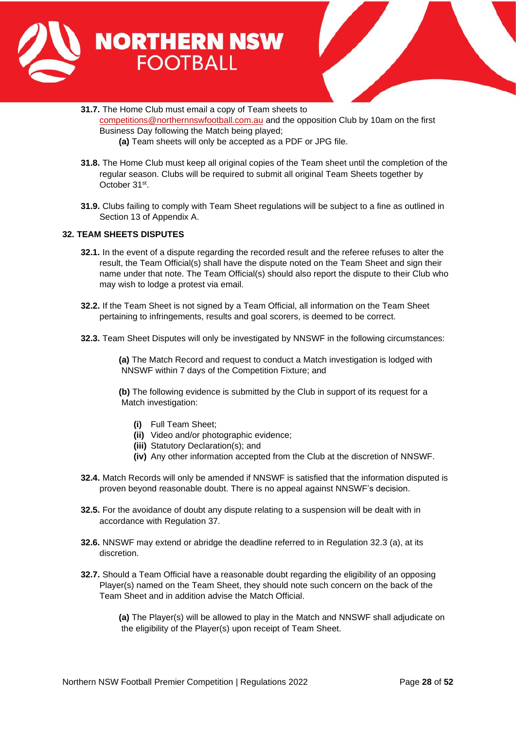



- **31.7.** The Home Club must email a copy of Team sheets to [competitions@northernnswfootball.com.au](mailto:competitions@northernnswfootball.com.au) and the opposition Club by 10am on the first Business Day following the Match being played;
	- **(a)** Team sheets will only be accepted as a PDF or JPG file.
- **31.8.** The Home Club must keep all original copies of the Team sheet until the completion of the regular season. Clubs will be required to submit all original Team Sheets together by October 31<sup>st</sup>.
- **31.9.** Clubs failing to comply with Team Sheet regulations will be subject to a fine as outlined in Section 13 of Appendix A.

# <span id="page-27-0"></span>**32. TEAM SHEETS DISPUTES**

- **32.1.** In the event of a dispute regarding the recorded result and the referee refuses to alter the result, the Team Official(s) shall have the dispute noted on the Team Sheet and sign their name under that note. The Team Official(s) should also report the dispute to their Club who may wish to lodge a protest via email.
- **32.2.** If the Team Sheet is not signed by a Team Official, all information on the Team Sheet pertaining to infringements, results and goal scorers, is deemed to be correct.
- **32.3.** Team Sheet Disputes will only be investigated by NNSWF in the following circumstances:

**(a)** The Match Record and request to conduct a Match investigation is lodged with NNSWF within 7 days of the Competition Fixture; and

**(b)** The following evidence is submitted by the Club in support of its request for a Match investigation:

- **(i)** Full Team Sheet;
- **(ii)** Video and/or photographic evidence;
- **(iii)** Statutory Declaration(s); and
- **(iv)** Any other information accepted from the Club at the discretion of NNSWF.
- **32.4.** Match Records will only be amended if NNSWF is satisfied that the information disputed is proven beyond reasonable doubt. There is no appeal against NNSWF's decision.
- **32.5.** For the avoidance of doubt any dispute relating to a suspension will be dealt with in accordance with Regulation 37.
- **32.6.** NNSWF may extend or abridge the deadline referred to in Regulation 32.3 (a), at its discretion.
- **32.7.** Should a Team Official have a reasonable doubt regarding the eligibility of an opposing Player(s) named on the Team Sheet, they should note such concern on the back of the Team Sheet and in addition advise the Match Official.

**(a)** The Player(s) will be allowed to play in the Match and NNSWF shall adjudicate on the eligibility of the Player(s) upon receipt of Team Sheet.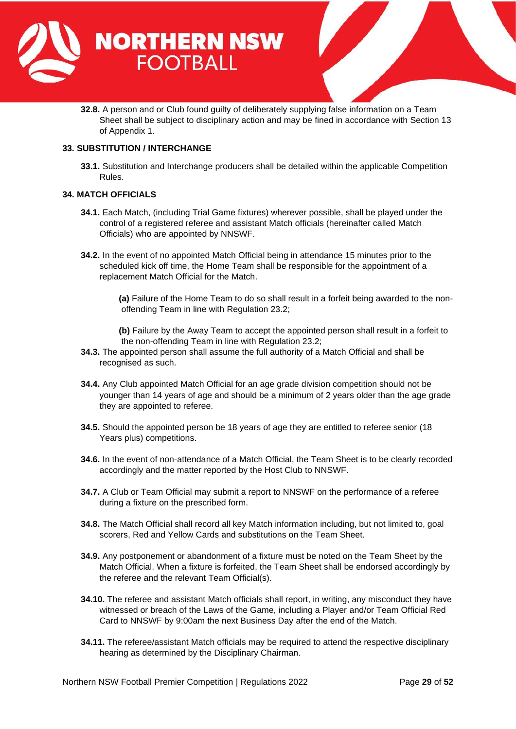

**32.8.** A person and or Club found guilty of deliberately supplying false information on a Team Sheet shall be subject to disciplinary action and may be fined in accordance with Section 13 of Appendix 1.

# <span id="page-28-0"></span>**33. SUBSTITUTION / INTERCHANGE**

**33.1.** Substitution and Interchange producers shall be detailed within the applicable Competition Rules.

# <span id="page-28-1"></span>**34. MATCH OFFICIALS**

- **34.1.** Each Match, (including Trial Game fixtures) wherever possible, shall be played under the control of a registered referee and assistant Match officials (hereinafter called Match Officials) who are appointed by NNSWF.
- **34.2.** In the event of no appointed Match Official being in attendance 15 minutes prior to the scheduled kick off time, the Home Team shall be responsible for the appointment of a replacement Match Official for the Match.

**(a)** Failure of the Home Team to do so shall result in a forfeit being awarded to the nonoffending Team in line with Regulation 23.2;

**(b)** Failure by the Away Team to accept the appointed person shall result in a forfeit to the non-offending Team in line with Regulation 23.2;

- **34.3.** The appointed person shall assume the full authority of a Match Official and shall be recognised as such.
- **34.4.** Any Club appointed Match Official for an age grade division competition should not be younger than 14 years of age and should be a minimum of 2 years older than the age grade they are appointed to referee.
- **34.5.** Should the appointed person be 18 years of age they are entitled to referee senior (18 Years plus) competitions.
- **34.6.** In the event of non-attendance of a Match Official, the Team Sheet is to be clearly recorded accordingly and the matter reported by the Host Club to NNSWF.
- **34.7.** A Club or Team Official may submit a report to NNSWF on the performance of a referee during a fixture on the prescribed form.
- **34.8.** The Match Official shall record all key Match information including, but not limited to, goal scorers, Red and Yellow Cards and substitutions on the Team Sheet.
- **34.9.** Any postponement or abandonment of a fixture must be noted on the Team Sheet by the Match Official. When a fixture is forfeited, the Team Sheet shall be endorsed accordingly by the referee and the relevant Team Official(s).
- **34.10.** The referee and assistant Match officials shall report, in writing, any misconduct they have witnessed or breach of the Laws of the Game, including a Player and/or Team Official Red Card to NNSWF by 9:00am the next Business Day after the end of the Match.
- **34.11.** The referee/assistant Match officials may be required to attend the respective disciplinary hearing as determined by the Disciplinary Chairman.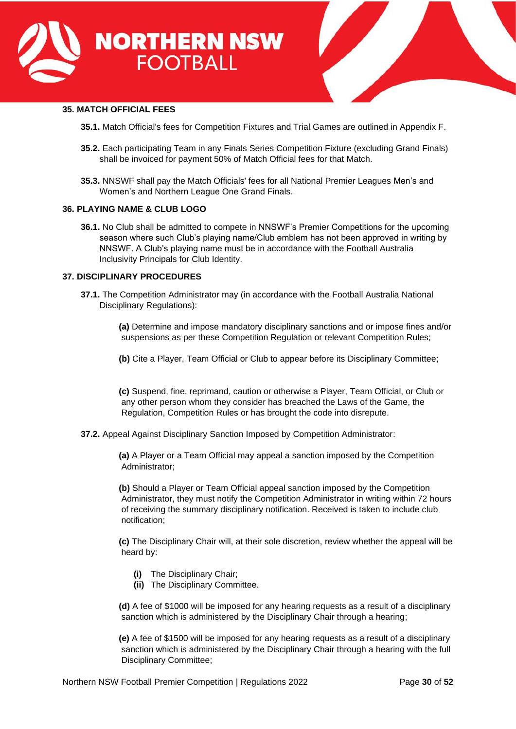



# <span id="page-29-0"></span>**35. MATCH OFFICIAL FEES**

- **35.1.** Match Official's fees for Competition Fixtures and Trial Games are outlined in Appendix F.
- **35.2.** Each participating Team in any Finals Series Competition Fixture (excluding Grand Finals) shall be invoiced for payment 50% of Match Official fees for that Match.
- **35.3.** NNSWF shall pay the Match Officials' fees for all National Premier Leagues Men's and Women's and Northern League One Grand Finals.

# <span id="page-29-1"></span>**36. PLAYING NAME & CLUB LOGO**

**36.1.** No Club shall be admitted to compete in NNSWF's Premier Competitions for the upcoming season where such Club's playing name/Club emblem has not been approved in writing by NNSWF. A Club's playing name must be in accordance with the Football Australia Inclusivity Principals for Club Identity.

#### <span id="page-29-2"></span>**37. DISCIPLINARY PROCEDURES**

- **37.1.** The Competition Administrator may (in accordance with the Football Australia National Disciplinary Regulations):
	- **(a)** Determine and impose mandatory disciplinary sanctions and or impose fines and/or suspensions as per these Competition Regulation or relevant Competition Rules;
	- **(b)** Cite a Player, Team Official or Club to appear before its Disciplinary Committee;

**(c)** Suspend, fine, reprimand, caution or otherwise a Player, Team Official, or Club or any other person whom they consider has breached the Laws of the Game, the Regulation, Competition Rules or has brought the code into disrepute.

**37.2.** Appeal Against Disciplinary Sanction Imposed by Competition Administrator:

**(a)** A Player or a Team Official may appeal a sanction imposed by the Competition Administrator;

**(b)** Should a Player or Team Official appeal sanction imposed by the Competition Administrator, they must notify the Competition Administrator in writing within 72 hours of receiving the summary disciplinary notification. Received is taken to include club notification;

**(c)** The Disciplinary Chair will, at their sole discretion, review whether the appeal will be heard by:

- **(i)** The Disciplinary Chair;
- **(ii)** The Disciplinary Committee.

**(d)** A fee of \$1000 will be imposed for any hearing requests as a result of a disciplinary sanction which is administered by the Disciplinary Chair through a hearing;

**(e)** A fee of \$1500 will be imposed for any hearing requests as a result of a disciplinary sanction which is administered by the Disciplinary Chair through a hearing with the full Disciplinary Committee;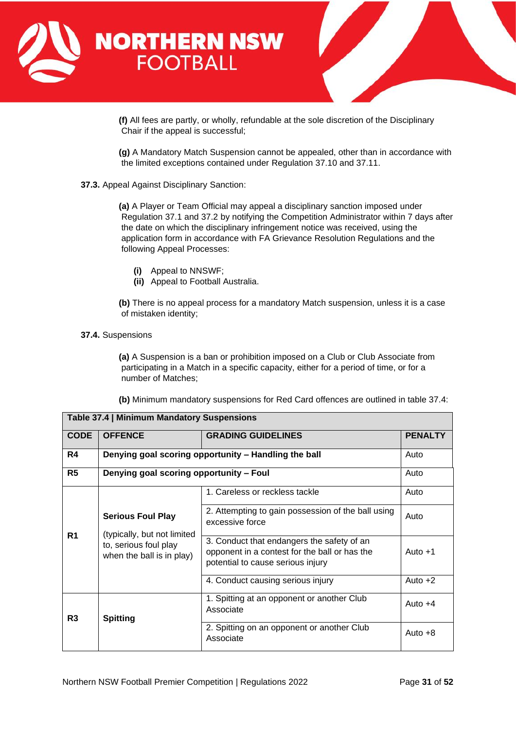



**(f)** All fees are partly, or wholly, refundable at the sole discretion of the Disciplinary Chair if the appeal is successful;

**(g)** A Mandatory Match Suspension cannot be appealed, other than in accordance with the limited exceptions contained under Regulation 37.10 and 37.11.

# **37.3.** Appeal Against Disciplinary Sanction:

**(a)** A Player or Team Official may appeal a disciplinary sanction imposed under Regulation 37.1 and 37.2 by notifying the Competition Administrator within 7 days after the date on which the disciplinary infringement notice was received, using the application form in accordance with FA Grievance Resolution Regulations and the following Appeal Processes:

**(i)** Appeal to NNSWF;

**Table 37.4 | Minimum Mandatory Suspensions**

**(ii)** Appeal to Football Australia.

**(b)** There is no appeal process for a mandatory Match suspension, unless it is a case of mistaken identity;

#### **37.4.** Suspensions

**(a)** A Suspension is a ban or prohibition imposed on a Club or Club Associate from participating in a Match in a specific capacity, either for a period of time, or for a number of Matches;

**(b)** Minimum mandatory suspensions for Red Card offences are outlined in table 37.4:

| <b>Table Jr. +   MINIMIRAIN Manualor y Ouspensions</b> |                                                                                                               |                                                                                                                                  |                |  |
|--------------------------------------------------------|---------------------------------------------------------------------------------------------------------------|----------------------------------------------------------------------------------------------------------------------------------|----------------|--|
| <b>CODE</b>                                            | <b>OFFENCE</b><br><b>GRADING GUIDELINES</b>                                                                   |                                                                                                                                  | <b>PENALTY</b> |  |
| R4                                                     | Denying goal scoring opportunity - Handling the ball                                                          |                                                                                                                                  |                |  |
| R <sub>5</sub>                                         | Denying goal scoring opportunity - Foul                                                                       |                                                                                                                                  |                |  |
|                                                        |                                                                                                               | 1. Careless or reckless tackle                                                                                                   | Auto           |  |
| R <sub>1</sub>                                         | <b>Serious Foul Play</b><br>(typically, but not limited<br>to, serious foul play<br>when the ball is in play) | 2. Attempting to gain possession of the ball using<br>excessive force                                                            | Auto           |  |
|                                                        |                                                                                                               | 3. Conduct that endangers the safety of an<br>opponent in a contest for the ball or has the<br>potential to cause serious injury | Auto $+1$      |  |
|                                                        |                                                                                                               | 4. Conduct causing serious injury                                                                                                | Auto $+2$      |  |
| R <sub>3</sub>                                         | <b>Spitting</b>                                                                                               | 1. Spitting at an opponent or another Club<br>Associate                                                                          | Auto $+4$      |  |
|                                                        |                                                                                                               | 2. Spitting on an opponent or another Club<br>Associate                                                                          | Auto $+8$      |  |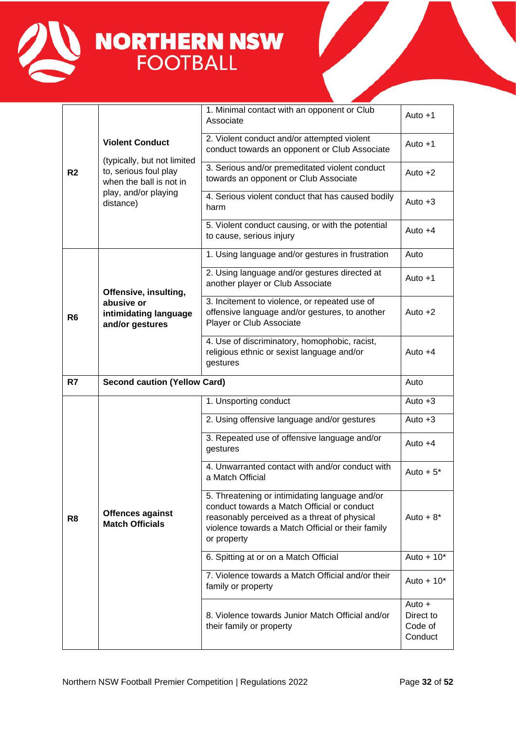

|                |                                                                                                                                                | 1. Minimal contact with an opponent or Club<br>Associate                                                                                                                                                          | Auto $+1$                                   |
|----------------|------------------------------------------------------------------------------------------------------------------------------------------------|-------------------------------------------------------------------------------------------------------------------------------------------------------------------------------------------------------------------|---------------------------------------------|
|                | <b>Violent Conduct</b><br>(typically, but not limited<br>to, serious foul play<br>when the ball is not in<br>play, and/or playing<br>distance) | 2. Violent conduct and/or attempted violent<br>conduct towards an opponent or Club Associate                                                                                                                      | Auto $+1$                                   |
| R <sub>2</sub> |                                                                                                                                                | 3. Serious and/or premeditated violent conduct<br>towards an opponent or Club Associate                                                                                                                           | Auto $+2$                                   |
|                |                                                                                                                                                | 4. Serious violent conduct that has caused bodily<br>harm                                                                                                                                                         | Auto $+3$                                   |
|                |                                                                                                                                                | 5. Violent conduct causing, or with the potential<br>to cause, serious injury                                                                                                                                     | Auto $+4$                                   |
|                |                                                                                                                                                | 1. Using language and/or gestures in frustration                                                                                                                                                                  | Auto                                        |
|                | Offensive, insulting,                                                                                                                          | 2. Using language and/or gestures directed at<br>another player or Club Associate                                                                                                                                 | Auto $+1$                                   |
| R <sub>6</sub> | abusive or<br>intimidating language<br>and/or gestures                                                                                         | 3. Incitement to violence, or repeated use of<br>offensive language and/or gestures, to another<br>Player or Club Associate                                                                                       | Auto $+2$                                   |
|                |                                                                                                                                                | 4. Use of discriminatory, homophobic, racist,<br>religious ethnic or sexist language and/or<br>gestures                                                                                                           | Auto $+4$                                   |
| R7             | <b>Second caution (Yellow Card)</b>                                                                                                            |                                                                                                                                                                                                                   | Auto                                        |
|                |                                                                                                                                                | 1. Unsporting conduct                                                                                                                                                                                             | Auto $+3$                                   |
|                | Offences against<br><b>Match Officials</b>                                                                                                     | 2. Using offensive language and/or gestures                                                                                                                                                                       | Auto $+3$                                   |
|                |                                                                                                                                                | 3. Repeated use of offensive language and/or<br>gestures                                                                                                                                                          | Auto $+4$                                   |
|                |                                                                                                                                                | 4. Unwarranted contact with and/or conduct with<br>a Match Official                                                                                                                                               | Auto $+5$ <sup>*</sup>                      |
| R <sub>8</sub> |                                                                                                                                                | 5. Threatening or intimidating language and/or<br>conduct towards a Match Official or conduct<br>reasonably perceived as a threat of physical<br>violence towards a Match Official or their family<br>or property | Auto $+8$ <sup>*</sup>                      |
|                |                                                                                                                                                | 6. Spitting at or on a Match Official                                                                                                                                                                             | Auto + $10^*$                               |
|                |                                                                                                                                                | 7. Violence towards a Match Official and/or their<br>family or property                                                                                                                                           | Auto $+10*$                                 |
|                |                                                                                                                                                | 8. Violence towards Junior Match Official and/or<br>their family or property                                                                                                                                      | Auto $+$<br>Direct to<br>Code of<br>Conduct |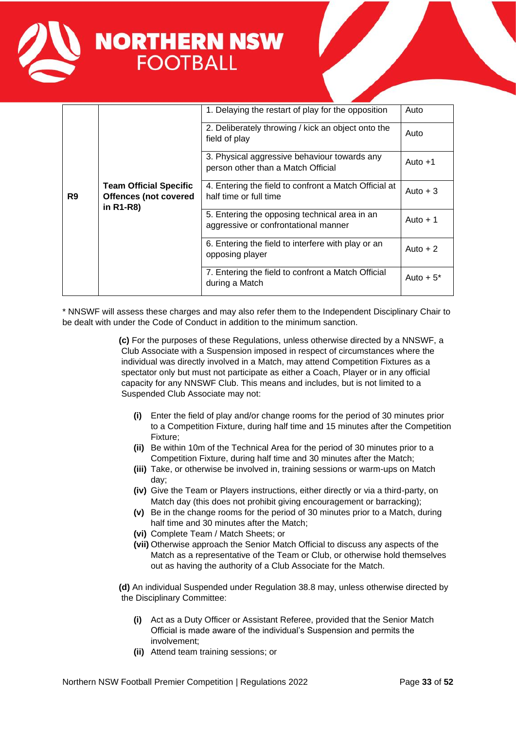

| <b>Team Official Specific</b><br>R <sub>9</sub><br><b>Offences (not covered</b><br>in R1-R8) |                                                                                 | 1. Delaying the restart of play for the opposition                                    | Auto        |
|----------------------------------------------------------------------------------------------|---------------------------------------------------------------------------------|---------------------------------------------------------------------------------------|-------------|
|                                                                                              |                                                                                 | 2. Deliberately throwing / kick an object onto the<br>field of play                   | Auto        |
|                                                                                              |                                                                                 | 3. Physical aggressive behaviour towards any<br>person other than a Match Official    | Auto $+1$   |
|                                                                                              | 4. Entering the field to confront a Match Official at<br>half time or full time | Auto $+3$                                                                             |             |
|                                                                                              |                                                                                 | 5. Entering the opposing technical area in an<br>aggressive or confrontational manner | Auto $+1$   |
|                                                                                              |                                                                                 | 6. Entering the field to interfere with play or an<br>opposing player                 | Auto $+2$   |
|                                                                                              |                                                                                 | 7. Entering the field to confront a Match Official<br>during a Match                  | Auto $+5^*$ |

\* NNSWF will assess these charges and may also refer them to the Independent Disciplinary Chair to be dealt with under the Code of Conduct in addition to the minimum sanction.

> **(c)** For the purposes of these Regulations, unless otherwise directed by a NNSWF, a Club Associate with a Suspension imposed in respect of circumstances where the individual was directly involved in a Match, may attend Competition Fixtures as a spectator only but must not participate as either a Coach, Player or in any official capacity for any NNSWF Club. This means and includes, but is not limited to a Suspended Club Associate may not:

- **(i)** Enter the field of play and/or change rooms for the period of 30 minutes prior to a Competition Fixture, during half time and 15 minutes after the Competition Fixture;
- **(ii)** Be within 10m of the Technical Area for the period of 30 minutes prior to a Competition Fixture, during half time and 30 minutes after the Match;
- **(iii)** Take, or otherwise be involved in, training sessions or warm-ups on Match day;
- **(iv)** Give the Team or Players instructions, either directly or via a third-party, on Match day (this does not prohibit giving encouragement or barracking);
- **(v)** Be in the change rooms for the period of 30 minutes prior to a Match, during half time and 30 minutes after the Match;
- **(vi)** Complete Team / Match Sheets; or
- **(vii)** Otherwise approach the Senior Match Official to discuss any aspects of the Match as a representative of the Team or Club, or otherwise hold themselves out as having the authority of a Club Associate for the Match.

**(d)** An individual Suspended under Regulation 38.8 may, unless otherwise directed by the Disciplinary Committee:

- **(i)** Act as a Duty Officer or Assistant Referee, provided that the Senior Match Official is made aware of the individual's Suspension and permits the involvement;
- **(ii)** Attend team training sessions; or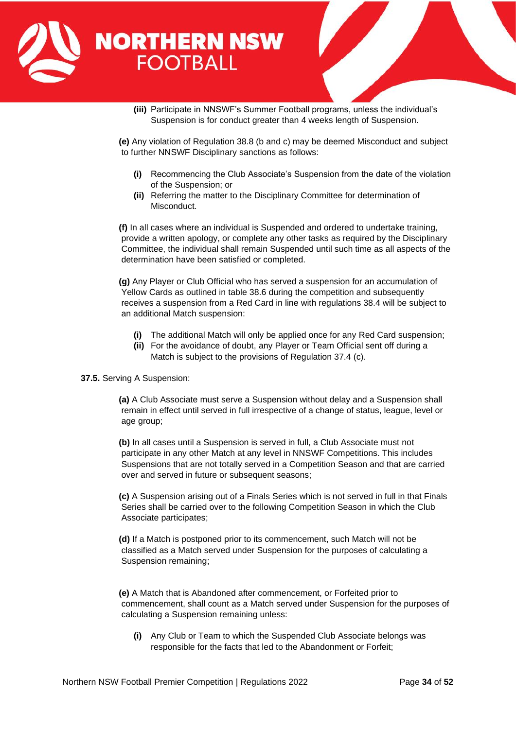

**(iii)** Participate in NNSWF's Summer Football programs, unless the individual's Suspension is for conduct greater than 4 weeks length of Suspension.

**(e)** Any violation of Regulation 38.8 (b and c) may be deemed Misconduct and subject to further NNSWF Disciplinary sanctions as follows:

- **(i)** Recommencing the Club Associate's Suspension from the date of the violation of the Suspension; or
- **(ii)** Referring the matter to the Disciplinary Committee for determination of Misconduct.

**(f)** In all cases where an individual is Suspended and ordered to undertake training, provide a written apology, or complete any other tasks as required by the Disciplinary Committee, the individual shall remain Suspended until such time as all aspects of the determination have been satisfied or completed.

**(g)** Any Player or Club Official who has served a suspension for an accumulation of Yellow Cards as outlined in table 38.6 during the competition and subsequently receives a suspension from a Red Card in line with regulations 38.4 will be subject to an additional Match suspension:

- **(i)** The additional Match will only be applied once for any Red Card suspension;
- **(ii)** For the avoidance of doubt, any Player or Team Official sent off during a Match is subject to the provisions of Regulation 37.4 (c).

**37.5.** Serving A Suspension:

**(a)** A Club Associate must serve a Suspension without delay and a Suspension shall remain in effect until served in full irrespective of a change of status, league, level or age group;

**(b)** In all cases until a Suspension is served in full, a Club Associate must not participate in any other Match at any level in NNSWF Competitions. This includes Suspensions that are not totally served in a Competition Season and that are carried over and served in future or subsequent seasons;

**(c)** A Suspension arising out of a Finals Series which is not served in full in that Finals Series shall be carried over to the following Competition Season in which the Club Associate participates;

**(d)** If a Match is postponed prior to its commencement, such Match will not be classified as a Match served under Suspension for the purposes of calculating a Suspension remaining;

**(e)** A Match that is Abandoned after commencement, or Forfeited prior to commencement, shall count as a Match served under Suspension for the purposes of calculating a Suspension remaining unless:

**(i)** Any Club or Team to which the Suspended Club Associate belongs was responsible for the facts that led to the Abandonment or Forfeit;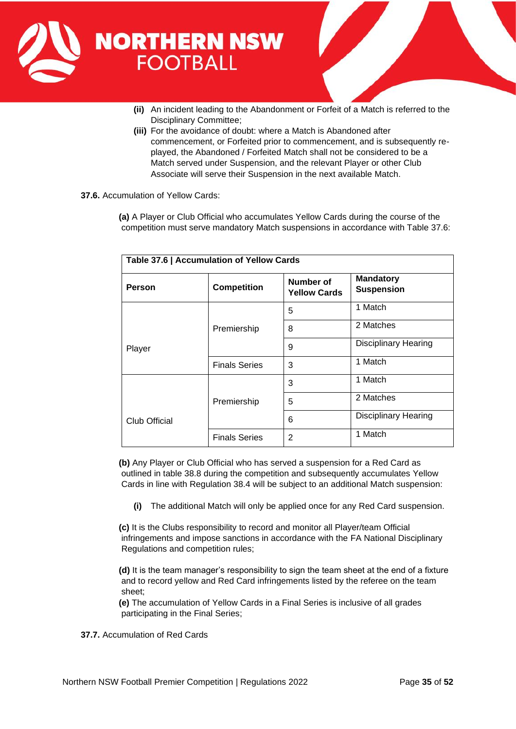

- **(ii)** An incident leading to the Abandonment or Forfeit of a Match is referred to the Disciplinary Committee;
- **(iii)** For the avoidance of doubt: where a Match is Abandoned after commencement, or Forfeited prior to commencement, and is subsequently replayed, the Abandoned / Forfeited Match shall not be considered to be a Match served under Suspension, and the relevant Player or other Club Associate will serve their Suspension in the next available Match.
- **37.6.** Accumulation of Yellow Cards:

**(a)** A Player or Club Official who accumulates Yellow Cards during the course of the competition must serve mandatory Match suspensions in accordance with Table 37.6:

| Table 37.6   Accumulation of Yellow Cards |                      |                                  |                                       |  |
|-------------------------------------------|----------------------|----------------------------------|---------------------------------------|--|
| <b>Person</b>                             | <b>Competition</b>   | Number of<br><b>Yellow Cards</b> | <b>Mandatory</b><br><b>Suspension</b> |  |
|                                           |                      | 5                                | 1 Match                               |  |
|                                           | Premiership          | 8                                | 2 Matches                             |  |
| Player                                    |                      | 9                                | <b>Disciplinary Hearing</b>           |  |
|                                           | <b>Finals Series</b> | 3                                | 1 Match                               |  |
|                                           | Premiership          | 3                                | 1 Match                               |  |
|                                           |                      | 5                                | 2 Matches                             |  |
| Club Official                             |                      | 6                                | <b>Disciplinary Hearing</b>           |  |
|                                           | <b>Finals Series</b> | 2                                | 1 Match                               |  |

**(b)** Any Player or Club Official who has served a suspension for a Red Card as outlined in table 38.8 during the competition and subsequently accumulates Yellow Cards in line with Regulation 38.4 will be subject to an additional Match suspension:

**(i)** The additional Match will only be applied once for any Red Card suspension.

**(c)** It is the Clubs responsibility to record and monitor all Player/team Official infringements and impose sanctions in accordance with the FA National Disciplinary Regulations and competition rules;

**(d)** It is the team manager's responsibility to sign the team sheet at the end of a fixture and to record yellow and Red Card infringements listed by the referee on the team sheet;

**(e)** The accumulation of Yellow Cards in a Final Series is inclusive of all grades participating in the Final Series;

**37.7.** Accumulation of Red Cards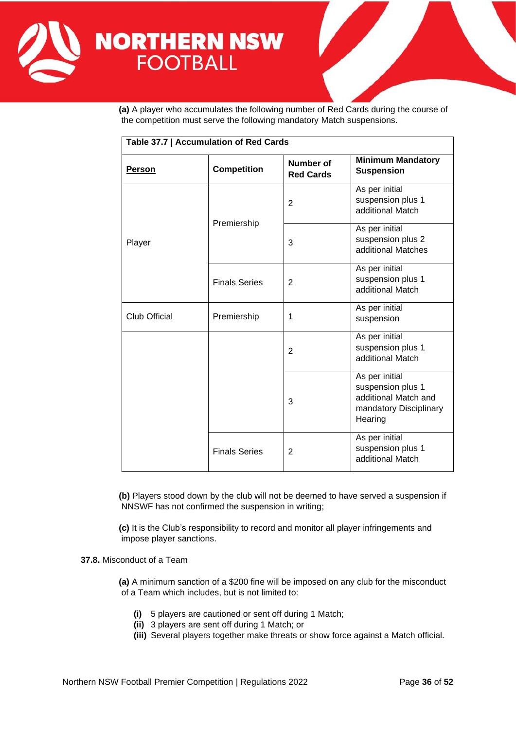

**(a)** A player who accumulates the following number of Red Cards during the course of the competition must serve the following mandatory Match suspensions.

| Table 37.7   Accumulation of Red Cards |                      |                               |                                                                                                  |  |
|----------------------------------------|----------------------|-------------------------------|--------------------------------------------------------------------------------------------------|--|
| <u>Person</u>                          | <b>Competition</b>   | Number of<br><b>Red Cards</b> | <b>Minimum Mandatory</b><br><b>Suspension</b>                                                    |  |
|                                        | Premiership          | $\overline{2}$                | As per initial<br>suspension plus 1<br>additional Match                                          |  |
| Player                                 |                      | 3                             | As per initial<br>suspension plus 2<br>additional Matches                                        |  |
|                                        | <b>Finals Series</b> | $\overline{2}$                | As per initial<br>suspension plus 1<br>additional Match                                          |  |
| <b>Club Official</b>                   | Premiership          | 1                             | As per initial<br>suspension                                                                     |  |
|                                        |                      | $\overline{2}$                | As per initial<br>suspension plus 1<br>additional Match                                          |  |
|                                        |                      | 3                             | As per initial<br>suspension plus 1<br>additional Match and<br>mandatory Disciplinary<br>Hearing |  |
|                                        | <b>Finals Series</b> | 2                             | As per initial<br>suspension plus 1<br>additional Match                                          |  |

**(b)** Players stood down by the club will not be deemed to have served a suspension if NNSWF has not confirmed the suspension in writing;

**(c)** It is the Club's responsibility to record and monitor all player infringements and impose player sanctions.

**37.8.** Misconduct of a Team

**(a)** A minimum sanction of a \$200 fine will be imposed on any club for the misconduct of a Team which includes, but is not limited to:

- **(i)** 5 players are cautioned or sent off during 1 Match;
- **(ii)** 3 players are sent off during 1 Match; or
- **(iii)** Several players together make threats or show force against a Match official.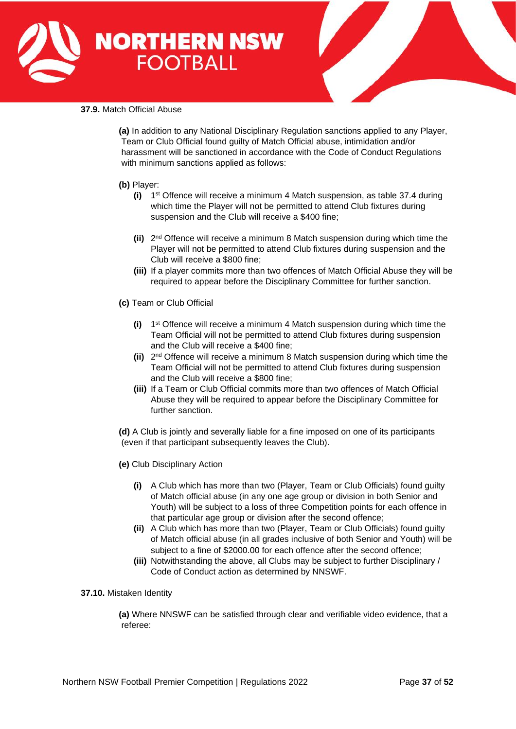



### **37.9.** Match Official Abuse

**(a)** In addition to any National Disciplinary Regulation sanctions applied to any Player, Team or Club Official found guilty of Match Official abuse, intimidation and/or harassment will be sanctioned in accordance with the Code of Conduct Regulations with minimum sanctions applied as follows:

# **(b)** Player:

- **(i)** 1 st Offence will receive a minimum 4 Match suspension, as table 37.4 during which time the Player will not be permitted to attend Club fixtures during suspension and the Club will receive a \$400 fine;
- **(ii)** 2 nd Offence will receive a minimum 8 Match suspension during which time the Player will not be permitted to attend Club fixtures during suspension and the Club will receive a \$800 fine;
- **(iii)** If a player commits more than two offences of Match Official Abuse they will be required to appear before the Disciplinary Committee for further sanction.
- **(c)** Team or Club Official
	- **(i)** 1 st Offence will receive a minimum 4 Match suspension during which time the Team Official will not be permitted to attend Club fixtures during suspension and the Club will receive a \$400 fine;
	- **(ii)** 2 nd Offence will receive a minimum 8 Match suspension during which time the Team Official will not be permitted to attend Club fixtures during suspension and the Club will receive a \$800 fine;
	- **(iii)** If a Team or Club Official commits more than two offences of Match Official Abuse they will be required to appear before the Disciplinary Committee for further sanction.

**(d)** A Club is jointly and severally liable for a fine imposed on one of its participants (even if that participant subsequently leaves the Club).

- **(e)** Club Disciplinary Action
	- **(i)** A Club which has more than two (Player, Team or Club Officials) found guilty of Match official abuse (in any one age group or division in both Senior and Youth) will be subject to a loss of three Competition points for each offence in that particular age group or division after the second offence;
	- **(ii)** A Club which has more than two (Player, Team or Club Officials) found guilty of Match official abuse (in all grades inclusive of both Senior and Youth) will be subject to a fine of \$2000.00 for each offence after the second offence;
	- **(iii)** Notwithstanding the above, all Clubs may be subject to further Disciplinary / Code of Conduct action as determined by NNSWF.

# **37.10.** Mistaken Identity

**(a)** Where NNSWF can be satisfied through clear and verifiable video evidence, that a referee: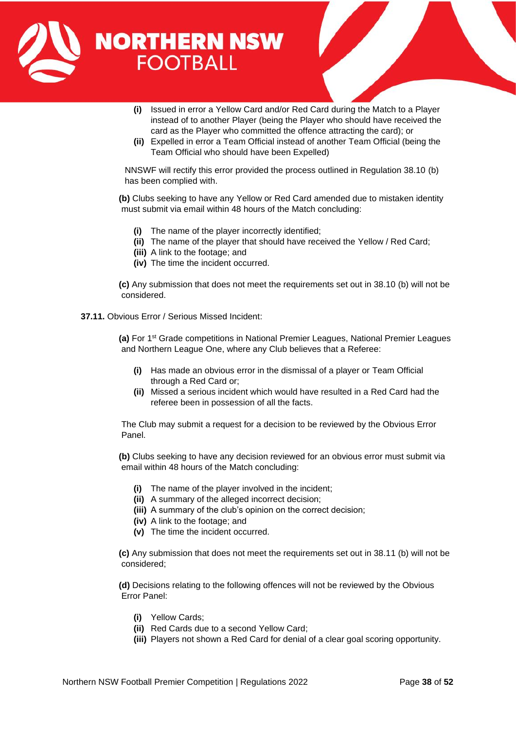

- **(i)** Issued in error a Yellow Card and/or Red Card during the Match to a Player instead of to another Player (being the Player who should have received the card as the Player who committed the offence attracting the card); or
- **(ii)** Expelled in error a Team Official instead of another Team Official (being the Team Official who should have been Expelled)

NNSWF will rectify this error provided the process outlined in Regulation 38.10 (b) has been complied with.

**(b)** Clubs seeking to have any Yellow or Red Card amended due to mistaken identity must submit via email within 48 hours of the Match concluding:

- **(i)** The name of the player incorrectly identified;
- **(ii)** The name of the player that should have received the Yellow / Red Card;
- **(iii)** A link to the footage; and
- **(iv)** The time the incident occurred.

**(c)** Any submission that does not meet the requirements set out in 38.10 (b) will not be considered.

**37.11.** Obvious Error / Serious Missed Incident:

**(a)** For 1<sup>st</sup> Grade competitions in National Premier Leagues, National Premier Leagues and Northern League One, where any Club believes that a Referee:

- **(i)** Has made an obvious error in the dismissal of a player or Team Official through a Red Card or;
- **(ii)** Missed a serious incident which would have resulted in a Red Card had the referee been in possession of all the facts.

The Club may submit a request for a decision to be reviewed by the Obvious Error Panel.

**(b)** Clubs seeking to have any decision reviewed for an obvious error must submit via email within 48 hours of the Match concluding:

- **(i)** The name of the player involved in the incident;
- **(ii)** A summary of the alleged incorrect decision;
- **(iii)** A summary of the club's opinion on the correct decision;
- **(iv)** A link to the footage; and
- **(v)** The time the incident occurred.

**(c)** Any submission that does not meet the requirements set out in 38.11 (b) will not be considered;

**(d)** Decisions relating to the following offences will not be reviewed by the Obvious Error Panel:

- **(i)** Yellow Cards;
- **(ii)** Red Cards due to a second Yellow Card;
- **(iii)** Players not shown a Red Card for denial of a clear goal scoring opportunity.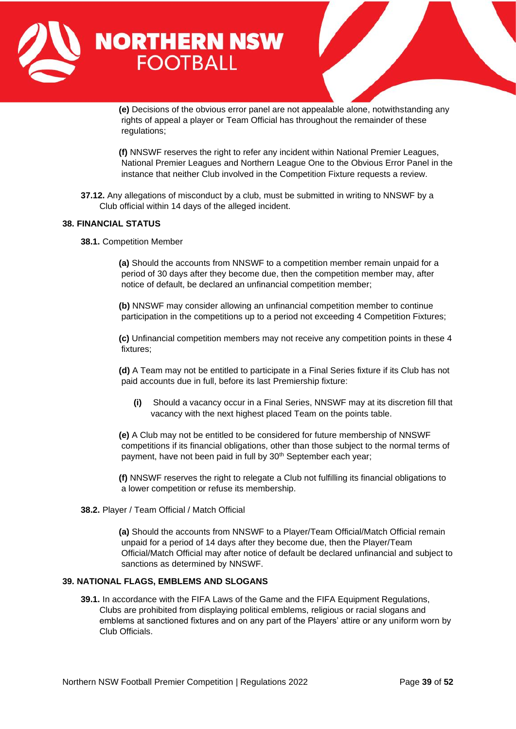

**(e)** Decisions of the obvious error panel are not appealable alone, notwithstanding any rights of appeal a player or Team Official has throughout the remainder of these regulations:

**(f)** NNSWF reserves the right to refer any incident within National Premier Leagues, National Premier Leagues and Northern League One to the Obvious Error Panel in the instance that neither Club involved in the Competition Fixture requests a review.

**37.12.** Any allegations of misconduct by a club, must be submitted in writing to NNSWF by a Club official within 14 days of the alleged incident.

# <span id="page-38-0"></span>**38. FINANCIAL STATUS**

**38.1.** Competition Member

**(a)** Should the accounts from NNSWF to a competition member remain unpaid for a period of 30 days after they become due, then the competition member may, after notice of default, be declared an unfinancial competition member;

**(b)** NNSWF may consider allowing an unfinancial competition member to continue participation in the competitions up to a period not exceeding 4 Competition Fixtures;

**(c)** Unfinancial competition members may not receive any competition points in these 4 fixtures;

**(d)** A Team may not be entitled to participate in a Final Series fixture if its Club has not paid accounts due in full, before its last Premiership fixture:

**(i)** Should a vacancy occur in a Final Series, NNSWF may at its discretion fill that vacancy with the next highest placed Team on the points table.

**(e)** A Club may not be entitled to be considered for future membership of NNSWF competitions if its financial obligations, other than those subject to the normal terms of payment, have not been paid in full by 30<sup>th</sup> September each year;

**(f)** NNSWF reserves the right to relegate a Club not fulfilling its financial obligations to a lower competition or refuse its membership.

#### **38.2.** Player / Team Official / Match Official

**(a)** Should the accounts from NNSWF to a Player/Team Official/Match Official remain unpaid for a period of 14 days after they become due, then the Player/Team Official/Match Official may after notice of default be declared unfinancial and subject to sanctions as determined by NNSWF.

### <span id="page-38-1"></span>**39. NATIONAL FLAGS, EMBLEMS AND SLOGANS**

**39.1.** In accordance with the FIFA Laws of the Game and the FIFA Equipment Regulations, Clubs are prohibited from displaying political emblems, religious or racial slogans and emblems at sanctioned fixtures and on any part of the Players' attire or any uniform worn by Club Officials.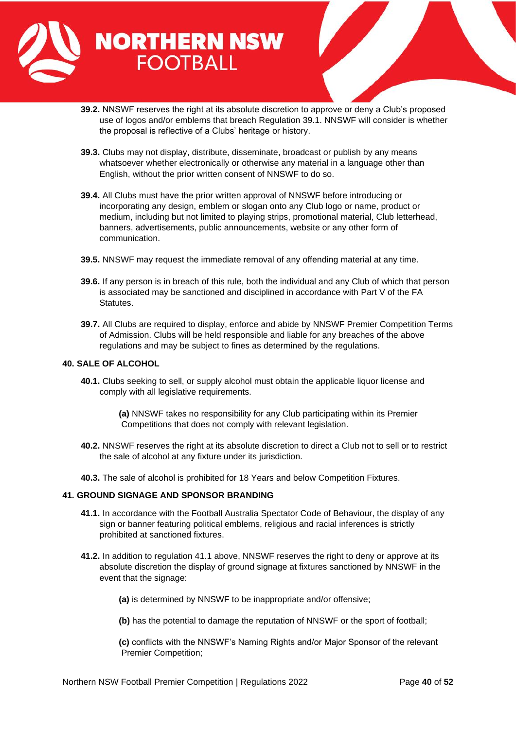

- **39.2.** NNSWF reserves the right at its absolute discretion to approve or deny a Club's proposed use of logos and/or emblems that breach Regulation 39.1. NNSWF will consider is whether the proposal is reflective of a Clubs' heritage or history.
- **39.3.** Clubs may not display, distribute, disseminate, broadcast or publish by any means whatsoever whether electronically or otherwise any material in a language other than English, without the prior written consent of NNSWF to do so.
- **39.4.** All Clubs must have the prior written approval of NNSWF before introducing or incorporating any design, emblem or slogan onto any Club logo or name, product or medium, including but not limited to playing strips, promotional material, Club letterhead, banners, advertisements, public announcements, website or any other form of communication.
- **39.5.** NNSWF may request the immediate removal of any offending material at any time.
- **39.6.** If any person is in breach of this rule, both the individual and any Club of which that person is associated may be sanctioned and disciplined in accordance with Part V of the FA Statutes.
- **39.7.** All Clubs are required to display, enforce and abide by NNSWF Premier Competition Terms of Admission. Clubs will be held responsible and liable for any breaches of the above regulations and may be subject to fines as determined by the regulations.

#### <span id="page-39-0"></span>**40. SALE OF ALCOHOL**

**40.1.** Clubs seeking to sell, or supply alcohol must obtain the applicable liquor license and comply with all legislative requirements.

> **(a)** NNSWF takes no responsibility for any Club participating within its Premier Competitions that does not comply with relevant legislation.

- **40.2.** NNSWF reserves the right at its absolute discretion to direct a Club not to sell or to restrict the sale of alcohol at any fixture under its jurisdiction.
- **40.3.** The sale of alcohol is prohibited for 18 Years and below Competition Fixtures.

#### <span id="page-39-1"></span>**41. GROUND SIGNAGE AND SPONSOR BRANDING**

- **41.1.** In accordance with the Football Australia Spectator Code of Behaviour, the display of any sign or banner featuring political emblems, religious and racial inferences is strictly prohibited at sanctioned fixtures.
- **41.2.** In addition to regulation 41.1 above, NNSWF reserves the right to deny or approve at its absolute discretion the display of ground signage at fixtures sanctioned by NNSWF in the event that the signage:
	- **(a)** is determined by NNSWF to be inappropriate and/or offensive;
	- **(b)** has the potential to damage the reputation of NNSWF or the sport of football;
	- **(c)** conflicts with the NNSWF's Naming Rights and/or Major Sponsor of the relevant Premier Competition;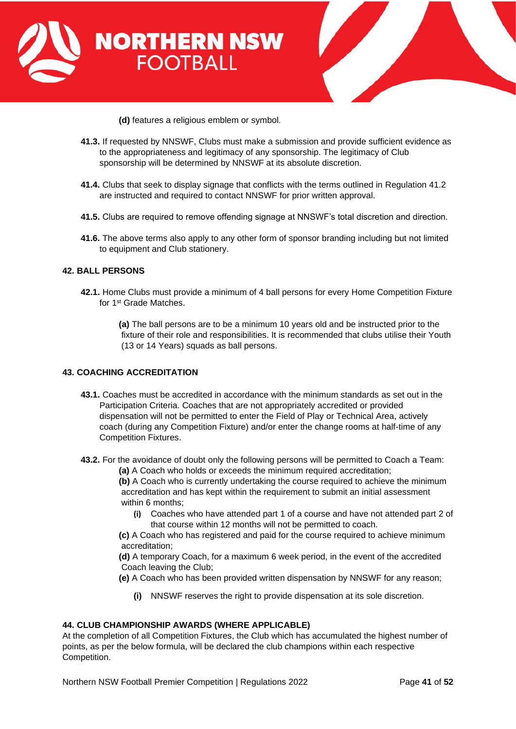



**(d)** features a religious emblem or symbol.

- **41.3.** If requested by NNSWF, Clubs must make a submission and provide sufficient evidence as to the appropriateness and legitimacy of any sponsorship. The legitimacy of Club sponsorship will be determined by NNSWF at its absolute discretion.
- **41.4.** Clubs that seek to display signage that conflicts with the terms outlined in Regulation 41.2 are instructed and required to contact NNSWF for prior written approval.
- **41.5.** Clubs are required to remove offending signage at NNSWF's total discretion and direction.
- **41.6.** The above terms also apply to any other form of sponsor branding including but not limited to equipment and Club stationery.

# **42. BALL PERSONS**

**42.1.** Home Clubs must provide a minimum of 4 ball persons for every Home Competition Fixture for 1<sup>st</sup> Grade Matches.

> **(a)** The ball persons are to be a minimum 10 years old and be instructed prior to the fixture of their role and responsibilities. It is recommended that clubs utilise their Youth (13 or 14 Years) squads as ball persons.

# <span id="page-40-0"></span>**43. COACHING ACCREDITATION**

- **43.1.** Coaches must be accredited in accordance with the minimum standards as set out in the Participation Criteria. Coaches that are not appropriately accredited or provided dispensation will not be permitted to enter the Field of Play or Technical Area, actively coach (during any Competition Fixture) and/or enter the change rooms at half-time of any Competition Fixtures.
- **43.2.** For the avoidance of doubt only the following persons will be permitted to Coach a Team:
	- **(a)** A Coach who holds or exceeds the minimum required accreditation;

**(b)** A Coach who is currently undertaking the course required to achieve the minimum accreditation and has kept within the requirement to submit an initial assessment within 6 months:

**(i)** Coaches who have attended part 1 of a course and have not attended part 2 of that course within 12 months will not be permitted to coach.

**(c)** A Coach who has registered and paid for the course required to achieve minimum accreditation;

**(d)** A temporary Coach, for a maximum 6 week period, in the event of the accredited Coach leaving the Club;

**(e)** A Coach who has been provided written dispensation by NNSWF for any reason;

**(i)** NNSWF reserves the right to provide dispensation at its sole discretion.

# <span id="page-40-1"></span>**44. CLUB CHAMPIONSHIP AWARDS (WHERE APPLICABLE)**

At the completion of all Competition Fixtures, the Club which has accumulated the highest number of points, as per the below formula, will be declared the club champions within each respective Competition.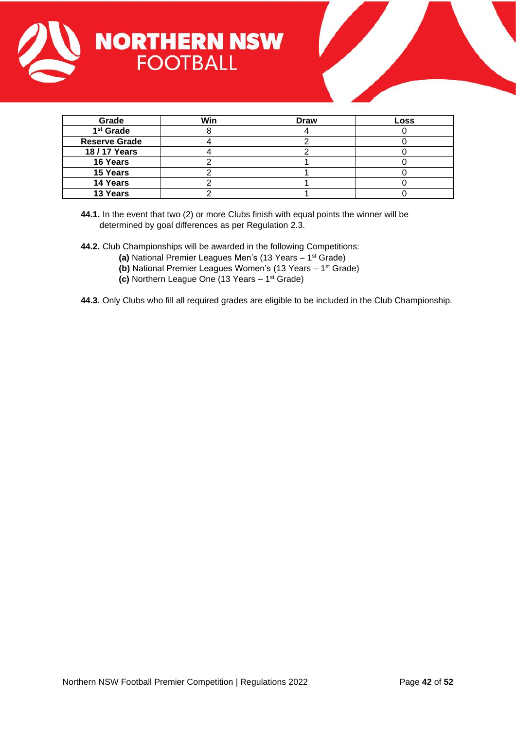



| Grade                 | Win | <b>Draw</b> | Loss |
|-----------------------|-----|-------------|------|
| 1 <sup>st</sup> Grade |     |             |      |
| <b>Reserve Grade</b>  |     |             |      |
| 18 / 17 Years         |     |             |      |
| 16 Years              |     |             |      |
| 15 Years              |     |             |      |
| 14 Years              |     |             |      |
| 13 Years              |     |             |      |

**44.1.** In the event that two (2) or more Clubs finish with equal points the winner will be determined by goal differences as per Regulation 2.3.

**44.2.** Club Championships will be awarded in the following Competitions:

- **(a)** National Premier Leagues Men's (13 Years 1 st Grade)
- **(b)** National Premier Leagues Women's (13 Years 1 st Grade)
- **(c)** Northern League One (13 Years 1 st Grade)

**44.3.** Only Clubs who fill all required grades are eligible to be included in the Club Championship.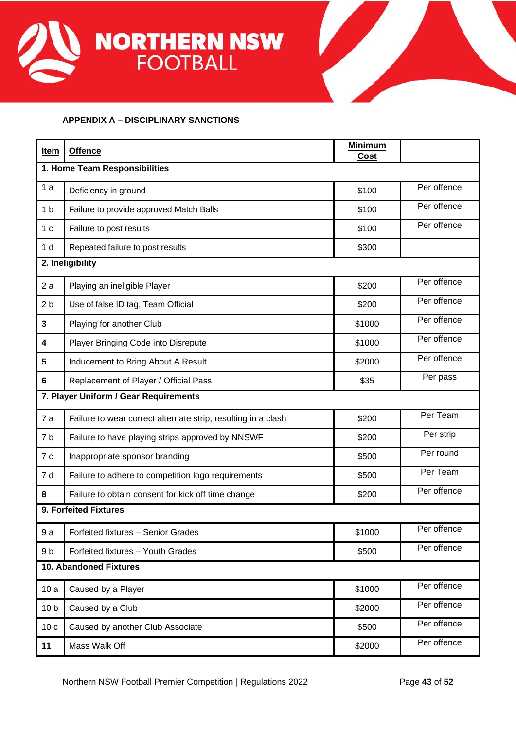



# <span id="page-42-0"></span>**APPENDIX A – DISCIPLINARY SANCTIONS**

| Item                          | <b>Offence</b>                                                | <b>Minimum</b><br>Cost |             |  |  |
|-------------------------------|---------------------------------------------------------------|------------------------|-------------|--|--|
| 1. Home Team Responsibilities |                                                               |                        |             |  |  |
| 1a                            | Deficiency in ground                                          | \$100                  | Per offence |  |  |
| 1 <sub>b</sub>                | Failure to provide approved Match Balls                       | \$100                  | Per offence |  |  |
| 1 <sub>c</sub>                | Failure to post results                                       | \$100                  | Per offence |  |  |
| 1 <sub>d</sub>                | Repeated failure to post results                              | \$300                  |             |  |  |
|                               | 2. Ineligibility                                              |                        |             |  |  |
| 2a                            | Playing an ineligible Player                                  | \$200                  | Per offence |  |  |
| 2 <sub>b</sub>                | Use of false ID tag, Team Official                            | \$200                  | Per offence |  |  |
| $\mathbf{3}$                  | Playing for another Club                                      | \$1000                 | Per offence |  |  |
| 4                             | Player Bringing Code into Disrepute                           | \$1000                 | Per offence |  |  |
| 5                             | Inducement to Bring About A Result                            | \$2000                 | Per offence |  |  |
| 6                             | Replacement of Player / Official Pass                         | \$35                   | Per pass    |  |  |
|                               | 7. Player Uniform / Gear Requirements                         |                        |             |  |  |
| 7a                            | Failure to wear correct alternate strip, resulting in a clash | \$200                  | Per Team    |  |  |
| 7b                            | Failure to have playing strips approved by NNSWF              | \$200                  | Per strip   |  |  |
| 7c                            | Inappropriate sponsor branding                                | \$500                  | Per round   |  |  |
| 7 d                           | Failure to adhere to competition logo requirements            | \$500                  | Per Team    |  |  |
| 8                             | Failure to obtain consent for kick off time change            | \$200                  | Per offence |  |  |
| 9. Forfeited Fixtures         |                                                               |                        |             |  |  |
| 9a                            | Forfeited fixtures - Senior Grades                            | \$1000                 | Per offence |  |  |
| 9 <sub>b</sub>                | Forfeited fixtures - Youth Grades                             | \$500                  | Per offence |  |  |
| <b>10. Abandoned Fixtures</b> |                                                               |                        |             |  |  |
| 10a                           | Caused by a Player                                            | \$1000                 | Per offence |  |  |
| 10 <sub>b</sub>               | Caused by a Club                                              | \$2000                 | Per offence |  |  |
| 10c                           | Caused by another Club Associate                              | \$500                  | Per offence |  |  |
| 11                            | Mass Walk Off                                                 | \$2000                 | Per offence |  |  |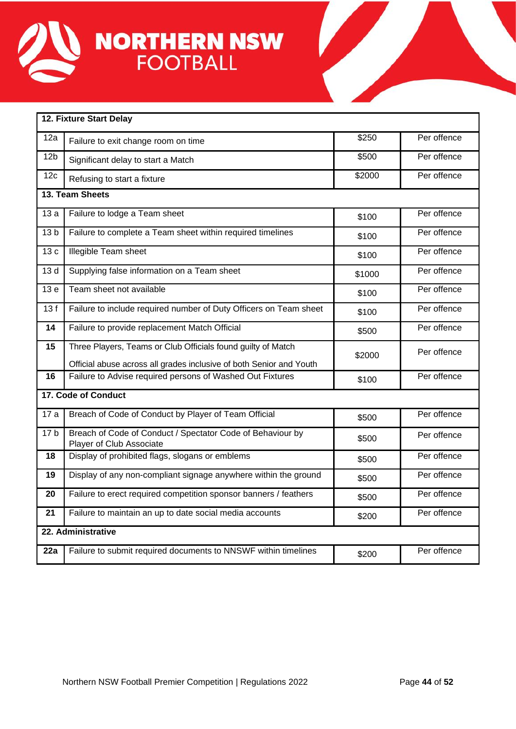

| 12. Fixture Start Delay |                                                                                                                                     |        |             |  |  |  |
|-------------------------|-------------------------------------------------------------------------------------------------------------------------------------|--------|-------------|--|--|--|
| 12a                     | Failure to exit change room on time                                                                                                 | \$250  | Per offence |  |  |  |
| 12 <sub>b</sub>         | Significant delay to start a Match                                                                                                  | \$500  | Per offence |  |  |  |
| 12c                     | Refusing to start a fixture                                                                                                         | \$2000 | Per offence |  |  |  |
| 13. Team Sheets         |                                                                                                                                     |        |             |  |  |  |
| 13a                     | Failure to lodge a Team sheet                                                                                                       | \$100  | Per offence |  |  |  |
| 13 <sub>b</sub>         | Failure to complete a Team sheet within required timelines                                                                          | \$100  | Per offence |  |  |  |
| 13c                     | <b>Illegible Team sheet</b>                                                                                                         | \$100  | Per offence |  |  |  |
| 13d                     | Supplying false information on a Team sheet                                                                                         | \$1000 | Per offence |  |  |  |
| 13 <sub>e</sub>         | Team sheet not available                                                                                                            | \$100  | Per offence |  |  |  |
| 13f                     | Failure to include required number of Duty Officers on Team sheet                                                                   | \$100  | Per offence |  |  |  |
| 14                      | Failure to provide replacement Match Official                                                                                       | \$500  | Per offence |  |  |  |
| 15                      | Three Players, Teams or Club Officials found guilty of Match<br>Official abuse across all grades inclusive of both Senior and Youth | \$2000 | Per offence |  |  |  |
| 16                      | Failure to Advise required persons of Washed Out Fixtures                                                                           | \$100  | Per offence |  |  |  |
| 17. Code of Conduct     |                                                                                                                                     |        |             |  |  |  |
| 17a                     | Breach of Code of Conduct by Player of Team Official                                                                                | \$500  | Per offence |  |  |  |
| 17 <sub>b</sub>         | Breach of Code of Conduct / Spectator Code of Behaviour by<br>Player of Club Associate                                              | \$500  | Per offence |  |  |  |
| 18                      | Display of prohibited flags, slogans or emblems                                                                                     | \$500  | Per offence |  |  |  |
| 19                      | Display of any non-compliant signage anywhere within the ground                                                                     | \$500  | Per offence |  |  |  |
| 20                      | Failure to erect required competition sponsor banners / feathers                                                                    | \$500  | Per offence |  |  |  |
| 21                      | Failure to maintain an up to date social media accounts                                                                             | \$200  | Per offence |  |  |  |
| 22. Administrative      |                                                                                                                                     |        |             |  |  |  |
| 22a                     | Failure to submit required documents to NNSWF within timelines                                                                      | \$200  | Per offence |  |  |  |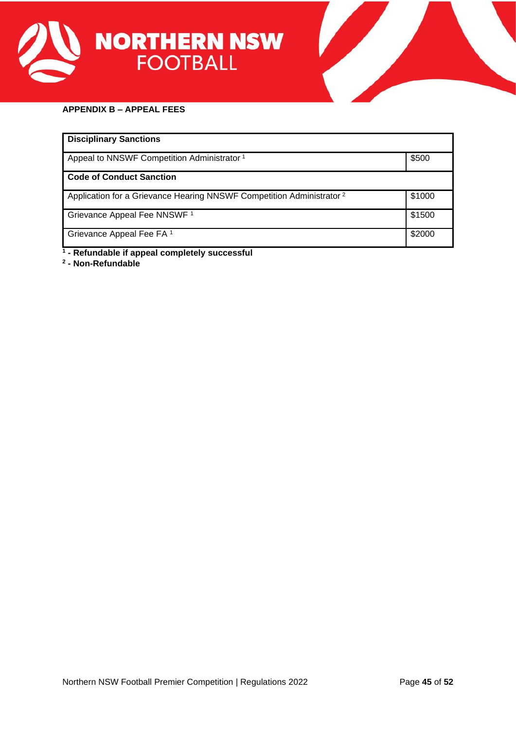



# <span id="page-44-0"></span>**APPENDIX B – APPEAL FEES**

| <b>Disciplinary Sanctions</b>                                                    |        |  |  |  |
|----------------------------------------------------------------------------------|--------|--|--|--|
| Appeal to NNSWF Competition Administrator <sup>1</sup>                           | \$500  |  |  |  |
| <b>Code of Conduct Sanction</b>                                                  |        |  |  |  |
| Application for a Grievance Hearing NNSWF Competition Administrator <sup>2</sup> | \$1000 |  |  |  |
| Grievance Appeal Fee NNSWF <sup>1</sup>                                          | \$1500 |  |  |  |
| Grievance Appeal Fee FA <sup>1</sup>                                             | \$2000 |  |  |  |

**1 - Refundable if appeal completely successful**

**2 - Non-Refundable**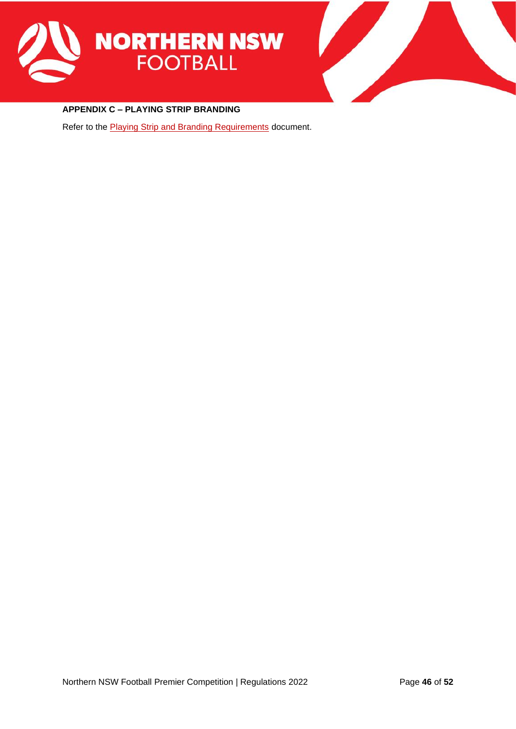



# <span id="page-45-0"></span>**APPENDIX C – PLAYING STRIP BRANDING**

Refer to the **Playing Strip and Branding Requirements** document.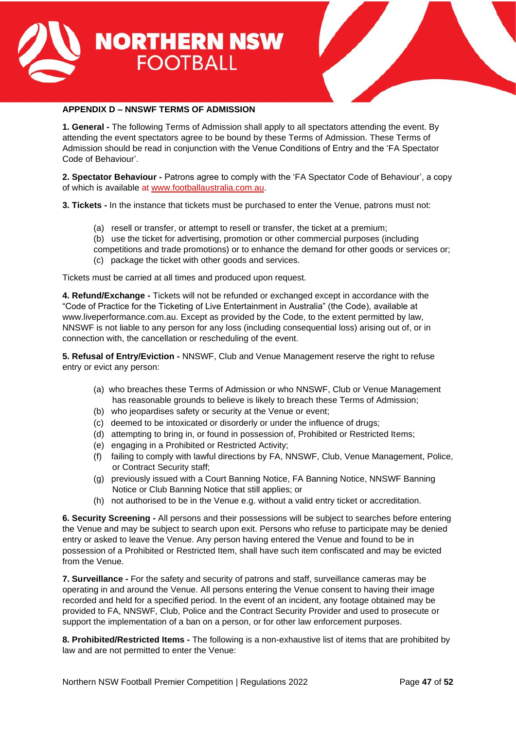



# **APPENDIX D – NNSWF TERMS OF ADMISSION**

**1. General -** The following Terms of Admission shall apply to all spectators attending the event. By attending the event spectators agree to be bound by these Terms of Admission. These Terms of Admission should be read in conjunction with the Venue Conditions of Entry and the 'FA Spectator Code of Behaviour'.

**2. Spectator Behaviour -** Patrons agree to comply with the 'FA Spectator Code of Behaviour', a copy of which is available at [www.footballaustralia.com.au.](http://www.footballaustralia.com.au/)

**3. Tickets -** In the instance that tickets must be purchased to enter the Venue, patrons must not:

- (a) resell or transfer, or attempt to resell or transfer, the ticket at a premium;
- (b) use the ticket for advertising, promotion or other commercial purposes (including

competitions and trade promotions) or to enhance the demand for other goods or services or;

(c) package the ticket with other goods and services.

Tickets must be carried at all times and produced upon request.

**4. Refund/Exchange -** Tickets will not be refunded or exchanged except in accordance with the "Code of Practice for the Ticketing of Live Entertainment in Australia" (the Code), available at www.liveperformance.com.au. Except as provided by the Code, to the extent permitted by law, NNSWF is not liable to any person for any loss (including consequential loss) arising out of, or in connection with, the cancellation or rescheduling of the event.

**5. Refusal of Entry/Eviction -** NNSWF, Club and Venue Management reserve the right to refuse entry or evict any person:

- (a) who breaches these Terms of Admission or who NNSWF, Club or Venue Management has reasonable grounds to believe is likely to breach these Terms of Admission;
- (b) who jeopardises safety or security at the Venue or event;
- (c) deemed to be intoxicated or disorderly or under the influence of drugs;
- (d) attempting to bring in, or found in possession of, Prohibited or Restricted Items;
- (e) engaging in a Prohibited or Restricted Activity;
- (f) failing to comply with lawful directions by FA, NNSWF, Club, Venue Management, Police, or Contract Security staff;
- (g) previously issued with a Court Banning Notice, FA Banning Notice, NNSWF Banning Notice or Club Banning Notice that still applies; or
- (h) not authorised to be in the Venue e.g. without a valid entry ticket or accreditation.

**6. Security Screening -** All persons and their possessions will be subject to searches before entering the Venue and may be subject to search upon exit. Persons who refuse to participate may be denied entry or asked to leave the Venue. Any person having entered the Venue and found to be in possession of a Prohibited or Restricted Item, shall have such item confiscated and may be evicted from the Venue.

**7. Surveillance -** For the safety and security of patrons and staff, surveillance cameras may be operating in and around the Venue. All persons entering the Venue consent to having their image recorded and held for a specified period. In the event of an incident, any footage obtained may be provided to FA, NNSWF, Club, Police and the Contract Security Provider and used to prosecute or support the implementation of a ban on a person, or for other law enforcement purposes.

**8. Prohibited/Restricted Items -** The following is a non-exhaustive list of items that are prohibited by law and are not permitted to enter the Venue: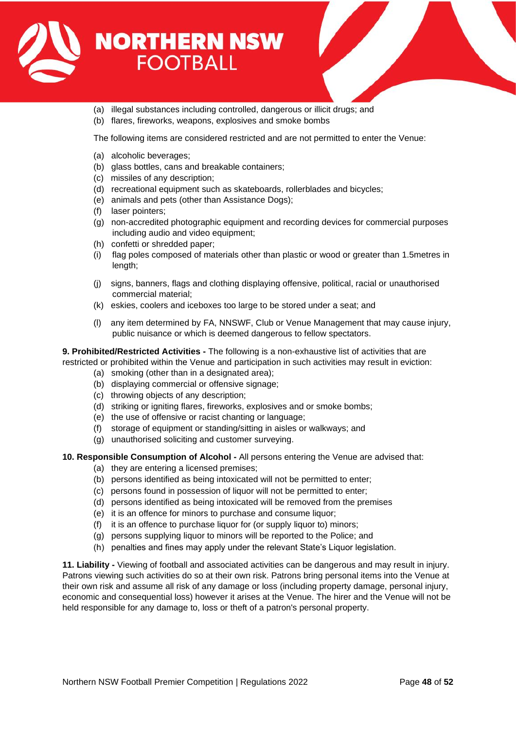

- 
- (a) illegal substances including controlled, dangerous or illicit drugs; and
- (b) flares, fireworks, weapons, explosives and smoke bombs

The following items are considered restricted and are not permitted to enter the Venue:

- (a) alcoholic beverages;
- (b) glass bottles, cans and breakable containers;
- (c) missiles of any description;
- (d) recreational equipment such as skateboards, rollerblades and bicycles;
- (e) animals and pets (other than Assistance Dogs);
- (f) laser pointers;
- (g) non-accredited photographic equipment and recording devices for commercial purposes including audio and video equipment;
- (h) confetti or shredded paper;
- (i) flag poles composed of materials other than plastic or wood or greater than 1.5metres in length;
- (j) signs, banners, flags and clothing displaying offensive, political, racial or unauthorised commercial material;
- (k) eskies, coolers and iceboxes too large to be stored under a seat; and
- (l) any item determined by FA, NNSWF, Club or Venue Management that may cause injury, public nuisance or which is deemed dangerous to fellow spectators.

# **9. Prohibited/Restricted Activities -** The following is a non-exhaustive list of activities that are

- restricted or prohibited within the Venue and participation in such activities may result in eviction:
	- (a) smoking (other than in a designated area);
	- (b) displaying commercial or offensive signage;
	- (c) throwing objects of any description;
	- (d) striking or igniting flares, fireworks, explosives and or smoke bombs;
	- (e) the use of offensive or racist chanting or language;
	- (f) storage of equipment or standing/sitting in aisles or walkways; and
	- (g) unauthorised soliciting and customer surveying.

#### **10. Responsible Consumption of Alcohol -** All persons entering the Venue are advised that:

- (a) they are entering a licensed premises;
- (b) persons identified as being intoxicated will not be permitted to enter;
- (c) persons found in possession of liquor will not be permitted to enter;
- (d) persons identified as being intoxicated will be removed from the premises
- (e) it is an offence for minors to purchase and consume liquor;
- (f) it is an offence to purchase liquor for (or supply liquor to) minors;
- (g) persons supplying liquor to minors will be reported to the Police; and
- (h) penalties and fines may apply under the relevant State's Liquor legislation.

**11. Liability -** Viewing of football and associated activities can be dangerous and may result in injury. Patrons viewing such activities do so at their own risk. Patrons bring personal items into the Venue at their own risk and assume all risk of any damage or loss (including property damage, personal injury, economic and consequential loss) however it arises at the Venue. The hirer and the Venue will not be held responsible for any damage to, loss or theft of a patron's personal property.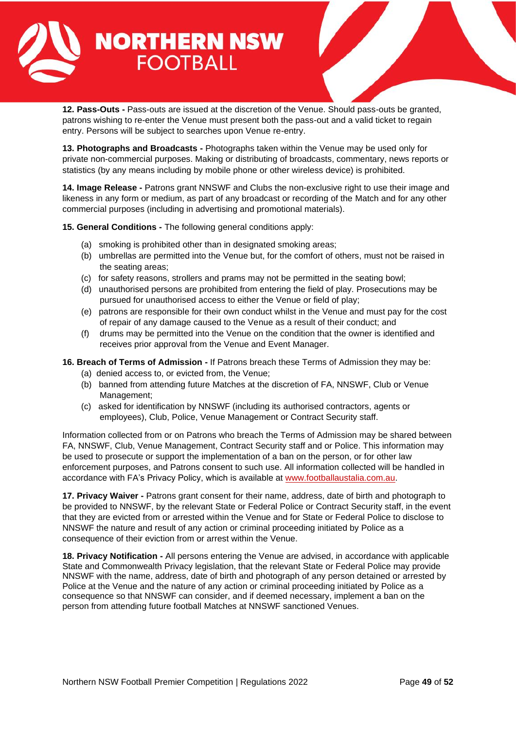

**12. Pass-Outs -** Pass-outs are issued at the discretion of the Venue. Should pass-outs be granted, patrons wishing to re-enter the Venue must present both the pass-out and a valid ticket to regain entry. Persons will be subject to searches upon Venue re-entry.

**13. Photographs and Broadcasts -** Photographs taken within the Venue may be used only for private non-commercial purposes. Making or distributing of broadcasts, commentary, news reports or statistics (by any means including by mobile phone or other wireless device) is prohibited.

**14. Image Release -** Patrons grant NNSWF and Clubs the non-exclusive right to use their image and likeness in any form or medium, as part of any broadcast or recording of the Match and for any other commercial purposes (including in advertising and promotional materials).

**15. General Conditions -** The following general conditions apply:

- (a) smoking is prohibited other than in designated smoking areas;
- (b) umbrellas are permitted into the Venue but, for the comfort of others, must not be raised in the seating areas;
- (c) for safety reasons, strollers and prams may not be permitted in the seating bowl;
- (d) unauthorised persons are prohibited from entering the field of play. Prosecutions may be pursued for unauthorised access to either the Venue or field of play;
- (e) patrons are responsible for their own conduct whilst in the Venue and must pay for the cost of repair of any damage caused to the Venue as a result of their conduct; and
- (f) drums may be permitted into the Venue on the condition that the owner is identified and receives prior approval from the Venue and Event Manager.

**16. Breach of Terms of Admission -** If Patrons breach these Terms of Admission they may be:

- (a) denied access to, or evicted from, the Venue;
- (b) banned from attending future Matches at the discretion of FA, NNSWF, Club or Venue Management;
- (c) asked for identification by NNSWF (including its authorised contractors, agents or employees), Club, Police, Venue Management or Contract Security staff.

Information collected from or on Patrons who breach the Terms of Admission may be shared between FA, NNSWF, Club, Venue Management, Contract Security staff and or Police. This information may be used to prosecute or support the implementation of a ban on the person, or for other law enforcement purposes, and Patrons consent to such use. All information collected will be handled in accordance with FA's Privacy Policy, which is available at [www.footballaustalia.com.au.](http://www.footballaustalia.com.au/)

**17. Privacy Waiver -** Patrons grant consent for their name, address, date of birth and photograph to be provided to NNSWF, by the relevant State or Federal Police or Contract Security staff, in the event that they are evicted from or arrested within the Venue and for State or Federal Police to disclose to NNSWF the nature and result of any action or criminal proceeding initiated by Police as a consequence of their eviction from or arrest within the Venue.

**18. Privacy Notification -** All persons entering the Venue are advised, in accordance with applicable State and Commonwealth Privacy legislation, that the relevant State or Federal Police may provide NNSWF with the name, address, date of birth and photograph of any person detained or arrested by Police at the Venue and the nature of any action or criminal proceeding initiated by Police as a consequence so that NNSWF can consider, and if deemed necessary, implement a ban on the person from attending future football Matches at NNSWF sanctioned Venues.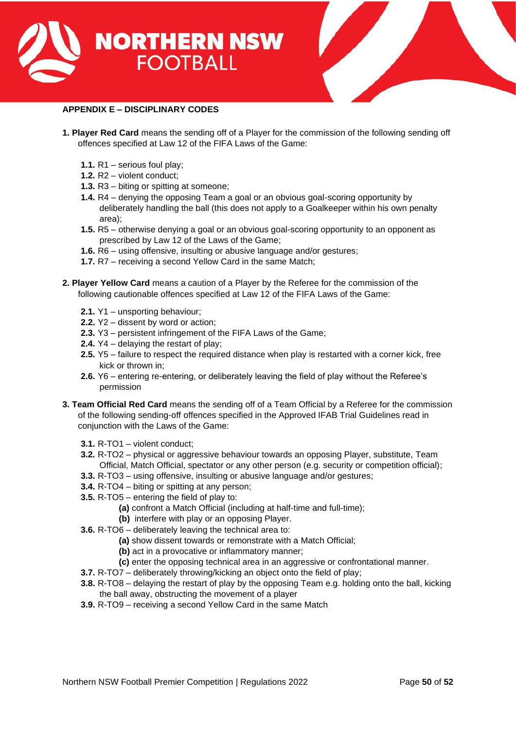



# <span id="page-49-0"></span>**APPENDIX E – DISCIPLINARY CODES**

- **1. Player Red Card** means the sending off of a Player for the commission of the following sending off offences specified at Law 12 of the FIFA Laws of the Game:
	- **1.1.** R1 serious foul play;
	- **1.2.** R2 violent conduct;
	- **1.3.** R3 biting or spitting at someone;
	- **1.4.** R4 denying the opposing Team a goal or an obvious goal-scoring opportunity by deliberately handling the ball (this does not apply to a Goalkeeper within his own penalty area);
	- **1.5.** R5 otherwise denying a goal or an obvious goal-scoring opportunity to an opponent as prescribed by Law 12 of the Laws of the Game;
	- **1.6.** R6 using offensive, insulting or abusive language and/or gestures;
	- **1.7.** R7 receiving a second Yellow Card in the same Match;
- **2. Player Yellow Card** means a caution of a Player by the Referee for the commission of the following cautionable offences specified at Law 12 of the FIFA Laws of the Game:
	- **2.1.** Y1 unsporting behaviour;
	- **2.2.** Y2 dissent by word or action;
	- **2.3.** Y3 persistent infringement of the FIFA Laws of the Game;
	- **2.4.** Y4 delaying the restart of play;
	- **2.5.** Y5 failure to respect the required distance when play is restarted with a corner kick, free kick or thrown in;
	- **2.6.** Y6 entering re-entering, or deliberately leaving the field of play without the Referee's permission
- **3. Team Official Red Card** means the sending off of a Team Official by a Referee for the commission of the following sending-off offences specified in the Approved IFAB Trial Guidelines read in conjunction with the Laws of the Game:
	- **3.1.** R-TO1 violent conduct;
	- **3.2.** R-TO2 physical or aggressive behaviour towards an opposing Player, substitute, Team Official, Match Official, spectator or any other person (e.g. security or competition official);
	- **3.3.** R-TO3 using offensive, insulting or abusive language and/or gestures;
	- **3.4.** R-TO4 biting or spitting at any person;
	- **3.5.** R-TO5 entering the field of play to:
		- **(a)** confront a Match Official (including at half-time and full-time);
		- **(b)** interfere with play or an opposing Player.
	- **3.6.** R-TO6 deliberately leaving the technical area to:
		- **(a)** show dissent towards or remonstrate with a Match Official;
		- **(b)** act in a provocative or inflammatory manner;
		- **(c)** enter the opposing technical area in an aggressive or confrontational manner.
	- **3.7.** R-TO7 deliberately throwing/kicking an object onto the field of play;
	- **3.8.** R-TO8 delaying the restart of play by the opposing Team e.g. holding onto the ball, kicking the ball away, obstructing the movement of a player
	- **3.9.** R-TO9 receiving a second Yellow Card in the same Match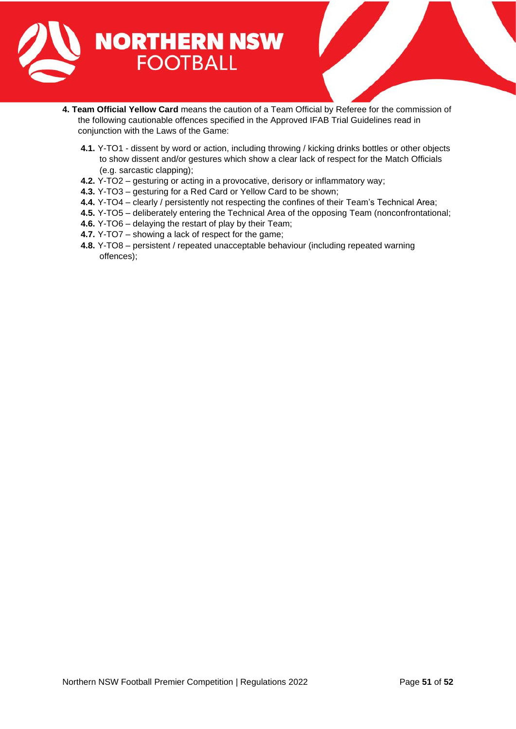

- **4. Team Official Yellow Card** means the caution of a Team Official by Referee for the commission of the following cautionable offences specified in the Approved IFAB Trial Guidelines read in conjunction with the Laws of the Game:
	- **4.1.** Y-TO1 dissent by word or action, including throwing / kicking drinks bottles or other objects to show dissent and/or gestures which show a clear lack of respect for the Match Officials (e.g. sarcastic clapping);
	- **4.2.** Y-TO2 gesturing or acting in a provocative, derisory or inflammatory way;
	- **4.3.** Y-TO3 gesturing for a Red Card or Yellow Card to be shown;
	- **4.4.** Y-TO4 clearly / persistently not respecting the confines of their Team's Technical Area;
	- **4.5.** Y-TO5 deliberately entering the Technical Area of the opposing Team (nonconfrontational;
	- **4.6.** Y-TO6 delaying the restart of play by their Team;
	- **4.7.** Y-TO7 showing a lack of respect for the game;
	- **4.8.** Y-TO8 persistent / repeated unacceptable behaviour (including repeated warning offences);